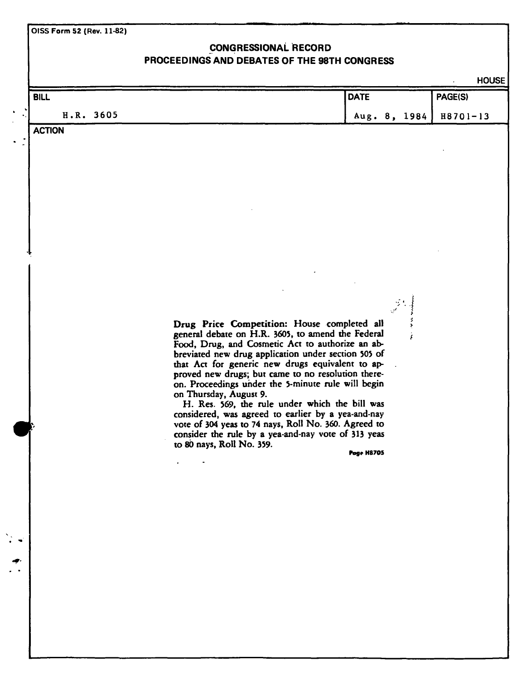**OtSS Form 52 (Rev. 11-82)** 

# **CONGRESSIONAL RECORD PROCEEDINGS AND DEBATES OF THE 98TH CONGRESS**

HOUSE

 $\overline{a}$ 

| <b>BILL</b>   |                                                                                                                                                                                                                                                                                                                                                                                                                                                                                                                                                                                                                                                           | <b>DATE</b>       | PAGE(S)      |
|---------------|-----------------------------------------------------------------------------------------------------------------------------------------------------------------------------------------------------------------------------------------------------------------------------------------------------------------------------------------------------------------------------------------------------------------------------------------------------------------------------------------------------------------------------------------------------------------------------------------------------------------------------------------------------------|-------------------|--------------|
| H.R. 3605     |                                                                                                                                                                                                                                                                                                                                                                                                                                                                                                                                                                                                                                                           | Aug. 8, 1984      | $H8701 - 13$ |
| <b>ACTION</b> |                                                                                                                                                                                                                                                                                                                                                                                                                                                                                                                                                                                                                                                           |                   |              |
|               |                                                                                                                                                                                                                                                                                                                                                                                                                                                                                                                                                                                                                                                           |                   |              |
|               |                                                                                                                                                                                                                                                                                                                                                                                                                                                                                                                                                                                                                                                           |                   |              |
|               | Drug Price Competition: House completed all<br>general debate on H.R. 3605, to amend the Federal<br>Food, Drug, and Cosmetic Act to authorize an ab-<br>breviated new drug application under section 505 of<br>that Act for generic new drugs equivalent to ap-<br>proved new drugs; but came to no resolution there-<br>on. Proceedings under the 5-minute rule will begin<br>on Thursday, August 9.<br>H. Res. 569, the rule under which the bill was<br>considered, was agreed to earlier by a yea-and-nay<br>vote of 304 yeas to 74 nays, Roll No. 360. Agreed to<br>consider the rule by a yea-and-nay vote of 313 yeas<br>to 80 nays, Roll No. 359. | <b>Poge H8705</b> |              |
|               |                                                                                                                                                                                                                                                                                                                                                                                                                                                                                                                                                                                                                                                           |                   |              |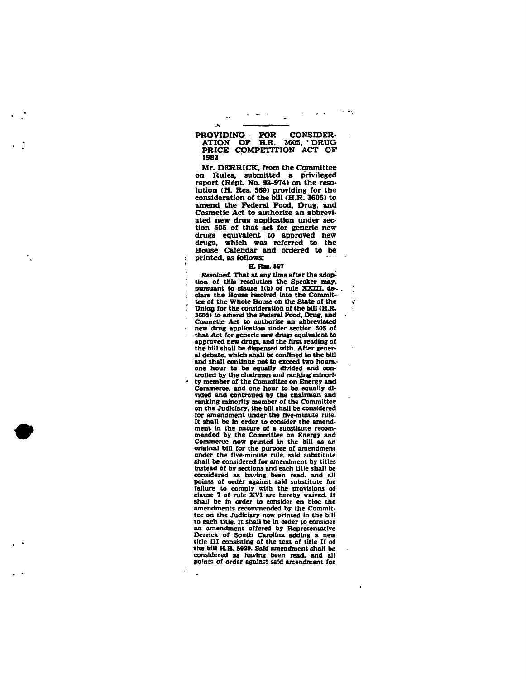## PROVIDING FOR CONSIDER-<br>ATION OF H.R. 3605, DRUG **ATION OF H.R. PRICE COMPETITION ACT OF 1983**

 $\sim$ 

 $\lambda$ 

 $\mathbf{r}$ 

**Mr. DERRICK, from the Committee on Rules, submitted a privileged report (Rept. No. 98-974) on the resolution (H. Res. 569) providing for the consideration of the bill (H.R. 3605) to amend the Federal Food. Drug, and Cosmetic Act to authorize an abbreviated new drug application under section 505 of that act for generic new drugs equivalent to approved new drugs, which was referred to the House Calendar and ordered to be printed, as follows:** 

#### **H. RES. 567**

ν

*Resolved,* **That at any time after the adoption of this resolution .the Speaker may.**  pursuant to clause 1(b) of rule XXIII, de**clare the House resolved Into the Committee of the Whole House on the State of the**  Union for the consideration of the bill (H.R. **3605) to amend the Federal Food. Drug, and Cosmetic- Act to authorize an abbreviated new drug application under section 505 of that Act for generic new drugs equivalent to approved hew drugs, and the first reading of the bill shall be dispensed with. After general debate, which shall be confined to the bill and shall continue not to exceed two hours. one hour to be equally divided and controlled by the chairman and ranking minority member of the Committee on Energy and Commerce, and one hour to be equally divided and controlled by the chairman and ranking minority member of the Committee on the Judiciary, the bill shall be considered for amendment under the five-minute rule. It shall be in order to consider the amendment in the nature of a substitute recommended by the Committee on Energy and Commerce now printed in the bill as an original bill for the purpose of amendment under the five-minute rule, said substitute shall be considered for amendment by titles instead of by sections and each title shall be considered as having been read, and all points of order against said substitute for failure to comply with the provisions of clause 7 of rule XVI are hereby waived. It shall be in order to consider en bloc the amendments recommended by the Committee on the Judiciary now printed in the bill to each title. It shall be in order to consider an amendment offered by Representative Derrick of South Carolina adding a new title III consisting of the text of title II of the bill H.R. 5929. Said amendment shair be**  the bill H.R. 5929. Said amendment shall be **points of order against said amendment for**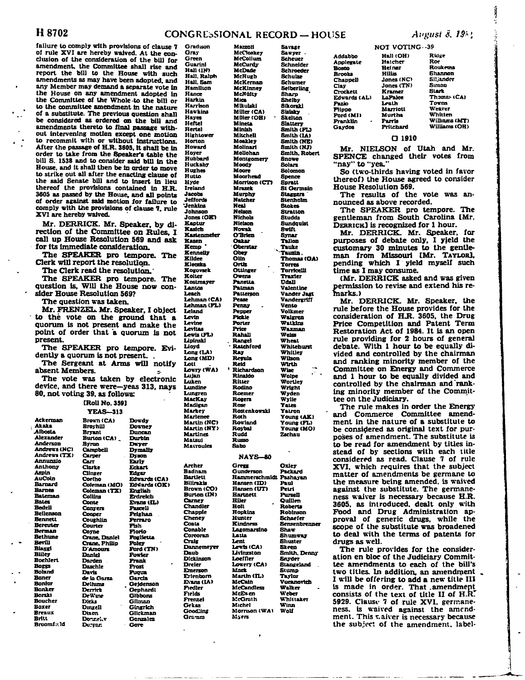## H 8702 **CONGRESSIONAL RECORD** — HOUSE *August 8, 19*<sup>2</sup>

**Mazzoli** 

**McCollum McCurdy McDade McHugb** 

**McKinney McNulty Mica Mikulskl** 

**Mineta Minlsh Mitchell Moakley Molinarl Mollohan** 

**Moody Moore Moorhead** 

**Mrazek Murphy Natcher Neal Nelson Nichols Nielson Novak O'Brien Oakar**  Ober<del>star</del><br>Obey **Olto Ortiz Ottinger Owens Panetta Patman Patterson Pease Penny Pepper Pickle Porter Price Rahall . Range) - Ratchford Ray Reeula Reid 1**

**failure to comply with provisions of clause 7 of rule XVI are hereby waived. At the con**clusion of the consideration of the bil amendment, the Committee shall rise report the bill to the House with amendments as may have been adopted any Member may demand a separate vo the House on any amendment adopte the Committee of the Whole to the **b** to the committee amendment in the na of a substitute. The previous question be considered as ordered on the bill amendments thereto to final passage out intervening motion except one me to recommit with or without instruct After the passage of H.R. 3605, it shall order to take from the Speaker's table bill S. 1538 and to consider said bill in House, and it shall then be in order to to strike out all after the enacting clau the said Senate bill and to insert in thereof the provisions contained in **3605 as passed by the House, and all points of order against said motion for failure to comply with the provisions of clause 7. rule XVI are hereby waived. Gradison Gray** 

Mr. DERRICK. Mr. Speaker, by rection of the Committee on Rule call up House Resolution 569 and **for its Immediate consideration.** 

**The SPEAKER pro tempore. The Clerk will report the resolution.** 

**The Clerk read the resolution.'** 

The SPEAKER pro tempore. question is. Will the House now **sider House Resolution 569?** 

**The question was taken.** 

**Bennan Beth**  $\mathbf{\bar{B}}$ 

**Boehlert Boggs** 

**Bream Britt** 

**Mr. FRENZEL. Mr. Speaker, I ob** to the vote on the ground that **quorum is not present and make the**  point of order that a quorum is **present.** 

The SPEAKER pro tempore. **dently a quorum is not present. .** 

The Sergeant at Arms will no absent Members.

The vote was taken by electro device, and there were-yeas 313, **n 80. not voting 39, as follows:** 

|                  | [Roll No. 359]       |                   |
|------------------|----------------------|-------------------|
|                  | <b>YEAS-313</b>      |                   |
|                  |                      |                   |
| Ackerman         | <b>Brown</b> (CA)    | Dowdy             |
| Akaka            | <b>Bro</b> vhill     | <b>Douney</b>     |
| Albosta          | <b>Bryant</b>        | Duncan            |
| <b>Alexander</b> | Burton (CA)          | Durbin            |
| <b>Anderson</b>  | Byron                | Dwyer             |
| Andrews (NC)     | <b>Campbell</b>      | <b>Dymally</b>    |
| Andrews (TX)     | <b>Carper</b>        | <b>Dyson</b>      |
| Annunzio         | ${\bf Car}$          | Early             |
| <b>Anthony</b>   | Clarke               | <b>Eckart</b>     |
| Aspin            | Clinger              | Edgar             |
| AuCoin           | Coelho               | <b>Edwards (C</b> |
| <b>Barnard</b>   | Coleman (MO)         | Edwards (C        |
| <b>Barnes</b>    | Coleman (TX)         | English           |
| <b>Bateman</b>   | Collins              | Erdreich          |
| <b>Bates</b>     | Conte                | <b>Evans (IL)</b> |
| Bedell           | <b>Convers</b>       | Pascell           |
| Beilenson        | Cooper               | <b>Peighan</b>    |
| <b>Bennett</b>   | Coughlin             | <b>Ferraro</b>    |
| Bereuter         | Courter              | Fish              |
| Berman           | Corne                | Florio            |
| <b>Bethune</b>   | <b>Crane, Daniel</b> | Poglietta         |
| <b>Bevill</b>    | <b>Crane, Philip</b> | Poley             |
| <b>Biaggi</b>    | <b>D'Amours</b>      | <b>Ford (TN)</b>  |
| <b>Bliley</b>    | Daniel               | Powler            |
| <b>Boehlert</b>  | Darden               | <b>Frank</b>      |
| <b>Bozgs</b>     | <b>Daschle</b>       | Frost             |
| <b>Boland</b>    | Davis                | <b>Pugua</b>      |
| <b>Boner</b>     | de la Garza          | Garcia            |
| <b>Bonier</b>    | <b>Dellums</b>       | Geidenson         |
| <b>Bonker</b>    | Derrick              | <b>Gephardi</b>   |
| <b>Borski</b>    | DeWine               | <b>Gibbons</b>    |
| <b>Boucher</b>   | Dirks                | Gilman            |
| Boxer            | Dingell              | Gingrich          |
| Breaux           | Dixon                | Glickman          |
| Britt            | Donnel v             | Gonzalez          |
| Broomf.: ld      | Durgan               | Gore              |
|                  |                      |                   |

| ll far<br>Į.<br>and<br>such<br>, and<br>ite in<br>еd<br>in<br>m<br>or<br>ature<br>shall<br>and<br>with-<br>otion<br>lans.<br>be in<br>e the<br>ï<br>the<br>move<br>se of<br>lieu<br>H.R.<br>oints<br>re to<br>. rule<br>y di-<br>es. I<br>8.S.R<br>The<br>The<br>con-<br>ject<br>Lt.<br>8<br>the<br>not<br>Evi-<br>otify<br>onic<br><b>12 y S</b> | Green<br>Guarini<br>Hall (IN)<br>Hall, Ralph<br>Hall, Sam<br>Hamilton<br>Hance<br>Harkin<br>Harrison<br>Hawkins<br>Hayes<br>Heftel<br>Herte)<br>Hightower<br>Horton<br>Howard<br>Hoyer<br>Hubbard<br>Huckaby<br>Hughes<br>Hutto<br>Hyde<br>Ireland<br>Jacobs<br>Jeffords<br>Jenkins<br>Johnson<br>Jones (OK)<br>Kaptur<br><b>Kasich</b><br><b>Kastenme<del>le</del>r</b><br>Kazen<br>Kemp<br>Kennelly<br>Kildee<br>Kleczka<br>Kogovsek<br>Kolter<br>Kostmayer<br>Lantos<br>Leach<br><b>Lehman (CA)</b><br>Lehman (FL)<br>Leland<br>Levin<br>Levine<br>Levitas<br>Lewis (FL)<br>Lipinski<br>Lloyd<br>Long (LA)<br>Long (MD)<br>Lott<br>Louty (WA)<br>Lujan<br>Luken<br>Lundine<br>Lungren<br>MacKay<br>Madigan<br>Markey<br><b>Marienee</b><br><b>Martin (NC</b><br>,<br><b>Martin (NY)</b><br><b>Martinez</b><br>Matsui<br>Mavroules |
|---------------------------------------------------------------------------------------------------------------------------------------------------------------------------------------------------------------------------------------------------------------------------------------------------------------------------------------------------|--------------------------------------------------------------------------------------------------------------------------------------------------------------------------------------------------------------------------------------------------------------------------------------------------------------------------------------------------------------------------------------------------------------------------------------------------------------------------------------------------------------------------------------------------------------------------------------------------------------------------------------------------------------------------------------------------------------------------------------------------------------------------------------------------------------------------------------|
| A)<br>II)                                                                                                                                                                                                                                                                                                                                         | Archer<br>Badham<br>Bartlett<br>Bilirakis<br>Brown (CO)<br>Burton (IN)<br>Carney<br>Chandler<br>Chappie<br>Cheney<br>Coats<br>Conable<br>Corcoran<br>Craig<br><b>Dannemey<del>er</del></b><br>Daub<br>Dickinson<br>Dreier<br>Emerson<br>Erlenborn<br><b>Evans (IA)</b><br>Fiedler<br>Fields<br>Frenzel<br>Gekas<br>Goodling<br>Gramm                                                                                                                                                                                                                                                                                                                                                                                                                                                                                                 |

**Savage McCloskey Sawyer • Scheuer Schneider Schroeder Schulze McKernan Schumer Selberling Sharp Shelby Sikorskl Miller (CA) Sislsky . Miller (OH) Skelton Slattery Smith (FL) Smith (IA) Smith (NE) Smith (NJ) Smith. Robert Montgomery Snowe Solars Solomon Spence Morrison (CD Spratt St Germain Staggers ' Stenholm Stokes Stration Studds 8undquist BwUt Synar Tallon Tauke "Tauzln. Thomas (GA) Torres Tomcelll Traxter Ddall Valentine Vander Jagt Vandergrlff Vento Volkmer Walgren Watklns Waxman Weiss Wheat Whiteburst WhiUey Wilson Wlrth Richardson Wise**   $\mathbb{R}^2$ **Wolpe WorUey Wright Wyden Wylie Vates Rosienkowskl Yairon Young (AK> Young (FL) Young (MO) Zschau** 

## **NAYS-8 0**

**Rinaldo Riuer Rodino Roemer Rogers Rose** 

**Roth Rowland Roybal Rudd Russo Sato** 

**Gregg Gundrrson Oxley Packard Hammerschmldt Pashayan Hansen (ID) Hansen (UT) Hannett Hiler Holt Hopkins Hunter Kindness Logomarsino Lalla Lent Lewis (CA) Livingston Loeffler Lowery (CA) Mock Martin (IL> McCain McCandless McEuen McGrath Michel Morrison (WA) Myers Paul Petri PurseTJ Quillen Roberts Robinson Schaefer Sensenbrenner Shaw Shumway Sliuster Skeen Smith. Denny Snyder Stangeland Stump Taylor Vucanortcb Walker Weber Whlttaker Winn Wolf** 

**Addabbo Applegale Bosoo Brooks Chappel) Clay Crockett Edwards (AD Fazio Flippo Ford (MI) Franklin Gaydos** 

**NOT VOTING-***-39*  **Hall (OH) Hatcher Hefner Hlllis Jones (NC) Jones (TN) Kramer LaPalce Lrath Marriott Murtha Ridge**  *Rot*  **Roukema Shannon Siijandrr** 

**Simon Stark Thames (CA) Towns Weaver Whilten Williams (MT) WUliams(OH)** 

#### **a 1910**

**Parris Prilcbard** 

**Mr. NIELSON of Utah and Mr. SPENCE changed their votes from "nay" to "yea."** 

**So (two-thirds having voted in favor thereof) the House agreed to consider House Resolution 569.** 

**The results of the vote was announced as above recorded.** 

**The SPEAKER pro tempore. The gentleman from South Carolina [Mr. DERRICK] is recognized for 1 hour.** 

**Mr. DERRICK. Mr. Speaker, for purposes of debate only, I yield the customary 30 minutes to the gentleman from Missouri [Mr. TAYLOR], pending which I yield myself such time as I may consume.** 

**(Mr. DERRICK asked and was given permission to revise and extend his remarks.)** 

**Mr. DERRICK. Mr. Speaker, the rule before the House provides for the consideration of H.R. 3605, the Drug Price Competition and Patent Term Restoration Act of 1984. It is an open rule providing for 2 hours of general debate. With 1 hour to be equally divided and controlled by the chairman and ranking minority member of the Committee on Energy and Commerce and 1 hour to be equally divided and controlled by the chairman and ranking minority member of the Committee on the Judiciary.** 

**The rule makes in order the Energy and Commerce Committee amendment in the nature of a substitute to be considered as original text for purposes of amendment. The substitute is to be read for amendment by titles instead of by sections with each title considered as read. Clause 7 of rule XVI, which requires that the subject matter of amendments be germane to the measure being amended, is waived against the substitute. The germaneness waiver is necessary because H.R. 3605. as introduced, dealt only with Food and Drug Administration approval of generic drugs, while the scope of the substitute was broadened to deal with the terms of patents for drugs as well.** 

**The rule provides for the consideration en bloc of the Judiciary Committee amendments to each of the bill's two titles. In addition, an amendment I will be offering to add a new title III is made in order. That .amendment**  consists of the text of title II of H.R. **5929. Ciaust 7 of rule XVI. germaneness, is waived against the amend**ment. This **v.aiver** is necessary because **the subject of the amendment, label-** Ĵ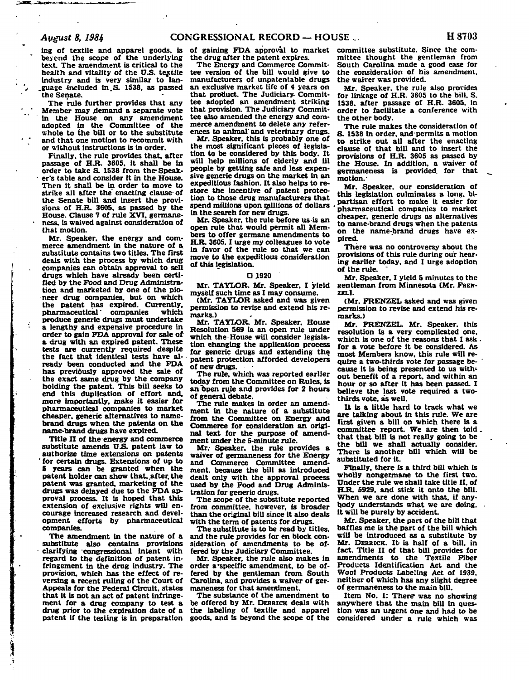**Ing of textile and apparel goods, is**  beyond the scope of the underlying **text. The amendment is critical to the health and vitality of the U.S. textile industry and is very similar to lan- .guage -included in.S. 1538. as passed the Senate.** 

**The rule further provides that any Member may demand a separate vote in the House on any amendment**  adopted in the **Committee** of the **whole to the bill or to the substitute and that one motion to recommit with or without instructions is in order.** 

**Finally, the rule provides that, after passage of H.R. 3605. it shall be in order to take S. 1538 from the-Speaker's table and consider it in the House. Then it shall be in order to move to strike all after the enacting clause- of the Senate bill and insert the provisions of H.R. 3605. as passed by the House. Clause 7 of rule XVI. germaneness, is waived against consideration of that motion.** 

**Mr. Speaker, the energy and commerce amendment in the nature of a substitute contains two titles. The first deals with the process by which drug companies can obtain approval to sell drugs which have already been certified by the Food and Drug Administration and marketed by one of the pioneer drug companies, but on which the patent has expired. Currently, pharmaceutical' companies which produce generic drugs must undertake a lengthy and expensive procedure in order to gain FDA approval for sale of a drug with an expired patent. These tests are currently required despite the fact that identical tests have already been conducted and the FDA has previdusly approved the sale of the exact same drug by the company holding the patent. This bill seeks to end this duplication of effort and, more importantly, make it easier for pharmaceutical companies to market cheaper, generic alternatives to namebrand drugs when the patents on the name-brand drugs have expired.** 

**Title II of the energy and commerce substitute amends U.S. patent law to authorize time extensions on patents ' for certain drugs. Extensions of up to 5 years can be granted when the patent holder can show that, after the patent was granted, marketing of the drugs was delayed due to the FDA approval process. It is hoped that this extension of exclusive rights will encourage increased research and development efforts by pharmaceutical companies.** 

**The amendment in the nature of a substitute also contains provisions - clarifying congressional intent with regard to the definition of patent infringement in the drug industry. The provision, which has the effect of reversing a recent ruling of the Court of Appeals for the Federal Circuit, states that it is not an act of patent infringement for a drug company to test a drug prior to the expiration date of a patent if the testing is in preparation** 

**of gaining FDA approval to market the drug after the patent expires.** 

**The Energy and Commerce Committee version of the bill would give to manufacturers of unpatentable drugs an exclusive market life of 4 years on that product. The Judiciary- Committee adopted an amendment striking that provision. The Judiciary Committee also amended the energy and commerce amendment to delete any references to animal' and veterinary drugs.** 

**Mr. Speaker, this is probably one of the most significant pieces of legislation to be considered by this body. It will help millions of elderly and ill people by getting safe and less expensive generic drugs on the market in an expeditious fashion. It also helps to restore the incentive of patent protection to those drug manufacturers that spend millions upon millions of dollars in the search for new drugs.** 

**Mr, Speaker, the rule before us is an open rule that would permit all Members to offer germane amendments to HA. 3605.1 urge my colleagues to vote in favor of the rule so that we can move to the expeditious consideration of this legislation.** 

#### **O 1920**

**Mr. TAYLOR. Mr. Speaker. I yield myself such time as I may consume.** 

**(Mr. TAYLOR asked and was given permission to revise and extend his remarks.)** 

**Mr. TAYLOR. Mr. Speaker. House Resolution 569 ia an open rule under which the House will consider legislation changing the application process for generic drugs and extending the patent protection afforded developers of new drugs.** 

**The rule, which was reported earlier today from the Committee on Rules, is an Open rule and provides for 2 hours of general debate.** 

**The rule makes in order an amendment in the nature of a substitute from the Committee on Energy and Commerce for consideration an original text for the purpose of amendment under the 5-minute rule.** 

**Mr.- Speaker, the rule provides a waiver of germaneness for the Energy and Commerce Committee amendment, because the bill as introduced dealt only with the approval process used by the Food and Drug Administration for generic drugs.** 

**The scope of the substitute reported from committee, however, is broader than the original bill since it also deals with the term of patents for drugs.** 

**The substitute is to be read by titles, and the rule provides for en block consideration of amendments to be offered by the Judiciary Committee.** 

**Mr. Speaker, the rule also makes in order a'specific amendment, to be offered by the gentleman from South Carolina, and provides a waiver of germaneness for that amendment.** 

**The substance of the amendment to be offered by Mr. DERRICK deals with the labeling of textile and apparel goods, and is beyond the scope of the**  **committee substitute. Since the committee thought the gentleman from South Carolina made a good case for the consideration of his amendment, the waiver was provided.** 

**Mr. Speaker, the rule also provides for linkage of H.R. 3605 to the bill. S. 1538. after passage of H.R. 3605. in order to facilitate a conference with the other body.** 

**The rule makes the consideration of S. 1538 in order, and permits a motion to strike out all after the enacting clause of that bill and to insert the provisions of H.R. 3605 as passed by the House. In addition, a waiver of germaneness is provided, for that motion.-**

**Mr. Speaker, our consideration of this legislation culminates a long, bipartisan effort to make it easier for ' pharmaceutical companies to market cheaper, generic drugs as alternatives to name-brand drugs when the patents on the name-brand drugs have expired.** 

**There was no controversy about the provisions of this rule during our hearing earlier today, and I urge adoption of the rule.** 

**Mr. Speaker, I yield 5 minutes to the gentleman from Minnesota (Mr. FREN-ZEL].** 

**(Mr. FRENZEL asked and was given permission to revise and extend his remarks.)** 

**Mr. FRENZEL. Mr. Speaker, this resolution is a very complicated one. which is one of the reasons that I ask. for a vote before it be considered. As most Members know, this rule will require a two-thirds vote for passage because it is being presented to us without benefit of a report, and within an hour or so after it has been passed. I believe the last vote required a twothirds vote, as well.** 

**It is a little hard to track what we are talking about in this rule. We are first given a bill on which there is a committee report. We are then told. that that bill is not really going to be the bill we shall actually consider. There is another bill which will be substituted for it.** 

**Finally, there Is a third bill which is wholly nongecmane to the first two. Under the rule we shall take title II. of H.R. 5929, and stick it onto the bill. When we are done with that, if anybody understands what we are doing, it will be purely by accident.** 

**Mr. Speaker, the part of the bill that baffles me is the part of the bill which will be introduced as a substitute by Mr. DERRICK. It- is half of a bill, in fact. Title II of that bill provides for amendments to the Textile Fiber Products Identification Act and the Wool Products Labeling Act of 1939. neither of which has any slight degree of germaneness to the main bill.** 

Item No. 1: There was no showing anywhere that the main bill in ques**tion was an urgent one and had to be considered under a rule which was**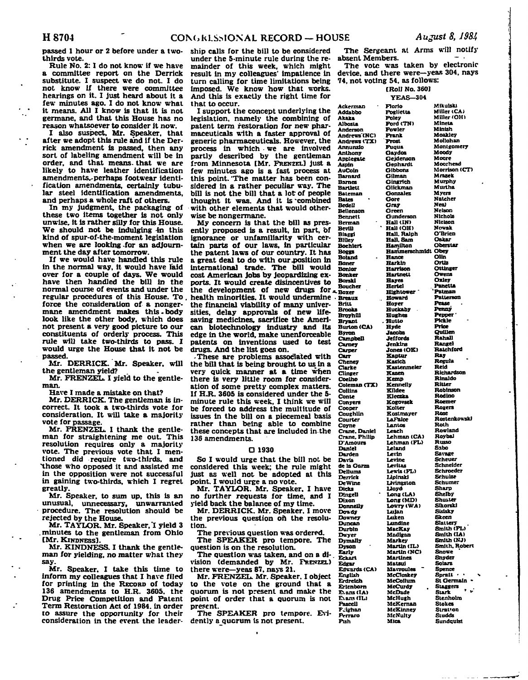**passed 1 hour or 2 before under a twothirds vote.** 

**Rule No. 2:1 do not know if we have a committee report on the Derrick substitute. I suspect we do not. I do not know if there were committee hearings on it. I just heard about it a few minutes ago. I do not know what it means. All I know is that it is not germane, and that this House has no reason whatsoever to consider it now.** 

**I also suspect, Mr. Speaker, that after we adopt this rule and if the Derrick amendment is passed, then any sort of labeling amendment will be in order, and that means- that we are likely to have leather identification amendments,-perhaps footwear identification amendments, certainly tubular steel identification amendments, and perhaps a whole raft of others.** 

**In my judgment, the packaging of these two items together is not only unwise, it is rather silly for this House. We should not be indulging -in this kind of spur-of-the-moment legislation when we are looking-for an adjournment the day after tomorrow.** 

**If we would have handled this rule in the normal way, it would have laid over for a couple of days. We would have then handled the bill in the normal course of events and under the regular procedures of this House. To, force the consideration of a nongermane amendment makes this.body look like the other body, which does not present a very good picture to our constituents of orderly process. This rule will take two-thirds to pass. I would urge the House that it not be passed.** 

**Mr. DERRICK. Mr. Speaker, will the gentleman yield?** 

**Mr. PRENZEL. I yield to the gentleman.** 

**Have I made a mistake on that?** 

**Mr. DERRICK. The gentleman is incorrect. It took a two-thirds vote for consideration. It will take a majority vote for passage.** 

**Mr. PRENZEL. I thank the gentleman for straightening me out. This resolution requires only a majority vote. The previous vote that I mentioned did require two-thirds, and "those who opposed it and assisted me in the opposition were not successful in gaining two-thirds, which I regret greatly.** 

**Mr. Speaker, to sum up. this is an unusual, unnecessary, unwarranted procedure. The resolution should be rejected by the House.** 

**Mr. TAYLOR. Mr. Speaker, I yield 3 .minutes to the gentleman from Ohio [Mr. KINDNESS].** 

**Mr. KINDNESS. I thank the gentleman for yielding, no matter what they say.** 

**Mr. Speaker. I take this time to inform my colleagues that I have filed for printing in the RECORD of today 136 amendments to H.R. 3605. the Drug Price Competition and Patent Term Restoration Act of 1984. in order to assure the opportunity for their consideration in the event the leader-**

**ship calls for the bill to be considered under the 5-minute rule during the remainder of this week, which might result in my colleagues' impatience in turn calling for time limitations being imposed. We know how that works. And this is exactly the right time for that to occur.** 

**I support the concept underlying the legislation, namely the combining of patent term restoration for new pharmaceuticals with a faster approval of generic pharmaceuticals. However, the process in which we are involved partly described by the gentleman from Minnesota [Mr. FRENZEL] just a few minutes ago is a fast process at this point. 'The matter has been considered in a rather peculiar way. The bill is not the bill that a lot of people thought it was. And it is 'combined with other elements that would otherwise be nongermane.** 

**My concern is that the bill as presently proposed is a result, in part, of ignorance or unfamiliarity with certain parts of our laws, in particular the patent laws of our country- It has a great deal to do with our .position in international trade. The bill would cost American jobs by jeopardizing exports. It would create disincentives to the development of new drugs for health minorities. It would undermine the financial viability of many universities, delay approvals of new lifesaving medicines, sacrifice the American biotechnology industry and its edge in the world, make unenforceable patents on inventions used to test drugs. And the list goes on. BevUl Biaggi BlUe Boner Bonier Bonker Borskl \* Boxer • Breaiu Brttt Brooks Byron Can-**

**-These are problems associated with the bill that is being brought to us in a very quick manner at a time when there is very little room for consideration of some pretty complex matters. If H.R. 3605 is considered under the 5 minute rule this week, I think we will be forced to address the multitude of issues in the bill on a piecemeal basis rather than being able to combine these concepts that are included in the 138 amendments.** 

#### **D 1930**

**So I would urge that the bill not be considered this week; the rule might just as well not be adopted at this point. I would urge a no vote.** 

**Mr. TAYLOR. Mr. Speaker. I have no further requests for time, and I yield back the balance of my time.** 

**Mr. DERRICK. Mr. Speaker. I move the previous question oh the resolution.** 

**The previous question was ordered. The SPEAKER pro tempore. The** 

**question is on the resolution. The question was taken, and on a di-**

**vision (demanded by Mr. PRENZEL) there were—yeas 87, nays 21.** 

**Mr. PRENZEL. Mr. Speaker. I object to the vote on the ground that a quorum is not present and make the point of order that a quorum is not present.** 

**The SPEAKER pro tempore. Evidently a quorum is not present.** 

**The Sergeant at Arms will notify**  absent Members.

**The vote was taken by electronicdevice, and there were—yeas 304, nays 74, not voting 54, as follows:** 

**[Roll No. 3601** 

**Akaka** 

**Bates BedeU** 

**Come** 

**Coope** 

**Davis** 

**Dicks** 

**Dixon** 

**Dvyer** 

**Early** 

**Edgar** 

**Fish** 

**YEAS—304 Ackerman Addabbo Albosta Anderson Andrews'(NC) Andrews <TX> Annunzio Anthony Applegate Aspin AuColn Barnard Barnes BarUett Baleman Beilenson Bennett Berman Boehlert Boggs Boland Boucher BroyhOl Bryant Burton (CA) Campbell Carney Carper Cheney Clarke dinger Coelho Coleman (TX) Collins Conyers Caughlin Courier Coyne Crane. Daniel Crane. Philip D'Amours Daniel Darden dels Garza Dellums Derrick DeWine Dinsell Donnelly Dowdy Downey Duncan Durbin Dymally Dyson - Eckart Edwards (CA) English Erdreich Ertenbom Evans(LA)**  Evans (IL) **Fascell F**:ighan **FVrraro Florio Foglietta Foley Ford(TN) Fowler Frank Frost Fuqua Oaydos Gejdenson Gephardt Gibbons Gilman Gingrich Giickman Gonzalez Gore Gray Green Gunderson Hall (IN) Hall (OH) Hall. Ralph Hall. Sam Hamilton Mikulski Miller (CAi Miller (OH) Mineta Minish Moakley Mollohan Montgomery Moody Moore Moorhead Morrison (CT) Mrazek Murphy Murtha Myers Nateher Neal Nelson Nichols Niclson Nowak O'Brien Dakar Oberstar Hammerschmidt Obey Hance Harkln Harrison HartneU Hayes Hote l Hightower Howard Hoyer Huckaby Hughes . Hutto Hyde Jacobs Jeffords Jenkins Jones (OKI Kaptur Kasich Kaslenmeler Kazen Kemp Kennelly Kildee Kleczka Kogovsek Kolter Kostmayer LaFalce Lanlos Leach Lehman (CA) Lehman (FL) Leland Levin Levine Leviias Lewis (FL) Lipinski Livingston Lloyd Long(LA) Long (MD) Lowry (WA> Lujan Luken Lundine MacKay Madigan Markey Martin (IL) Martin (NO Martinez Matsui Mavroules McCloskey McCoilum McCurdy McDade McHugh McKeman MeKinney McNulty Mica Olin Ortiz Ottinger Owens Oxley . Panetta 'Patman Patterson Pease Penny Pepper' Pickle Price Quillen Rahall Rangel Ratchford Ray Regula Reid Richardson Rlnaldo Ritter Robinson Rodino Roemer Rogers Rose Rostenkowskl Roth Rowland Roybal Russo Sabo Savage Scheuer Schneider Scbreeder Srhulze Schumer Sharp Shelby Shuster Sikorski Sislsky Skeen Slattery Smith (FL) Smith (LA) Smith (NJ> Smith. Robert Snowe Snyder Solars Spence Spratt • • St Germain \* Staggers Slark ' \* Sienholm Stokes Strauon Siudds Sundquist**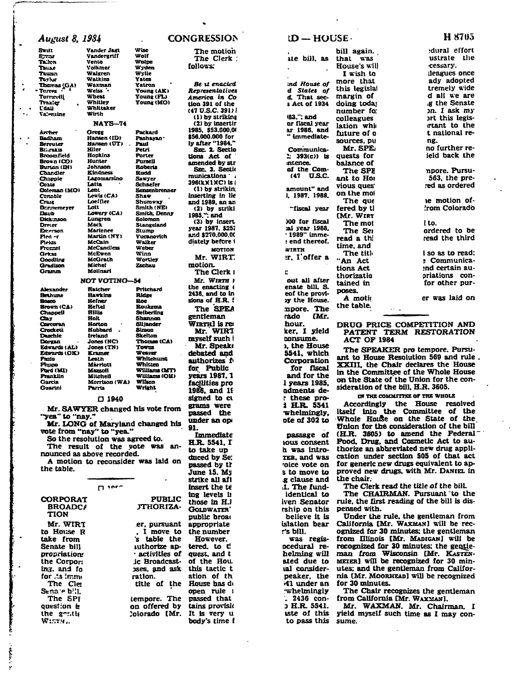| August 8, 1984               |                                  |                                    | <b>CONGRESSION</b>                   | $ID - HOUSE -$                  |                    |
|------------------------------|----------------------------------|------------------------------------|--------------------------------------|---------------------------------|--------------------|
| Swift                        | Vander Jagt                      | Wise                               | The motion                           |                                 | bill               |
| Symor<br>Taken               | Vandergriff<br>Vento             | Wolf<br>Wolpe                      | The Clerk :                          | ate bill, as                    | that               |
| Tause                        | Voikmer                          | Wyden                              | <i>callous:</i>                      |                                 | Hou:               |
| Tauma                        | Waleren                          | Wylie                              |                                      |                                 | Ιv                 |
| Terlur                       | Watkins                          | Yates                              |                                      |                                 | more               |
| <b>Thurss</b> (GA)           | Waxman<br>Welss •                | Yatron                             | Be u enacled                         | ind House of<br>d States of     | this               |
| Terres<br>Torreelij          | Wheat                            | Young (AK)<br>Young (FL)           | Representatives<br>America in Co     | d. That sec-                    | max <sub>i</sub>   |
| Traxler                      | Whitley                          | Young (MO)                         | tion 391 of the                      | s Act of 1934                   | doin               |
| t'aau                        | Whittaker                        |                                    | (47 U.S.C. 391)                      |                                 |                    |
| Valentine                    | Wirth                            |                                    | (1) by striking                      | 83.": and                       | num                |
|                              | NAYS-74                          |                                    | (2) by insertir                      | or fiscal year                  | colle              |
|                              |                                  |                                    | 1985, \$53.000,01                    | ar 1986, and                    | latio              |
| Archer<br>Badham             | Gregg<br>Hansen (ID)             | Packard<br>Pashayan:               | \$56,000,000 for                     | " immediate-                    | futu               |
| Bercuter                     | Hansen (UT)                      | Paul                               | ly after "1984."                     |                                 | sour               |
| Billrakis                    | Hiler                            | Petri                              | SEC. 2. Sectio                       | Communica-                      | Mı                 |
| Broomfield                   | Hopkins                          | Porter                             | tions Act of                         | $\therefore$ 393(c)) is         | ques               |
| Brown (CO)<br>Burton (IN)    | Hunter<br>Johnson                | Pursell<br>Roberts                 | amended by str                       | mtence.                         | bala               |
| <b>Chandler</b>              | Kindness                         | Rudd                               | Sec. 3. Sectio                       | of the Com-                     | Th                 |
| Chappie                      | Lagomarsino                      | Sawyer                             | munications .                        | U.S.C.<br>(47                   | ant                |
| Coats                        | Latta                            | Schaefer                           | 396(kX1XC) is :                      | amount" and                     | viou:              |
| Oxleman (MO)                 | Lent<br>Lewis (CA)               | Sensenbrenner                      | (1) by strikin;<br>inserting in lie  | i. 1987, 1988.                  | on tl              |
| Conable<br>Craig             | Loeffler                         | Shaw<br>Shumway                    | and 1989, an an                      |                                 | Тh                 |
| <b>Dennemeyer</b>            | Lott                             | <b>Smith (NE)</b>                  | (2) by striki                        | "fiscal year                    | fere               |
| Daub                         | Lovery (CA)                      | Smith, Denny                       | 1985."; and                          |                                 | (Mr.               |
| Dick:nson                    | Lungren                          | Solomon                            | (3) by insert                        | 100 for fiscal                  | Tr                 |
| Dreier                       | Mack                             | Stangeland                         | year 1987, \$251                     | :al year 1988.                  |                    |
| Enterson<br>Fied -r          | Marlence<br>Martin (NY)          | Stumo<br>Vucanovich                | and \$270,000,00                     | $\cdot$ 1989" imme-             | Th                 |
| Pess                         | McCain                           | Walker                             | diately before <b>1</b>              | : end thereof.                  | read               |
| Frenzei                      | <b>McCandless</b>                | Weber                              | <b>MOTION</b>                        | WIRTH                           | time               |
| Gekas                        | McEwen                           | Winn                               | Mr. WIRT.                            | r. I offer a                    | Tr                 |
| Goodling<br>Gradison         | McGrath<br>Michel                | Wortley<br><b>Zschau</b>           | motion.                              |                                 | "An                |
| Gramm                        | Molinari                         |                                    | The Clerk 1                          | r                               | tion:              |
|                              |                                  |                                    |                                      |                                 | thor               |
|                              | <b>NOT VOTING-54</b>             |                                    | <b>Mr. Wirth :</b><br>the enacting ( | out all after<br>enate bill. S. | tain               |
| Alexander                    | <b>Hatcher</b>                   | Pritchard                          | 2436, and to in                      | eof the provi-                  | pose               |
| Bethune<br>Bosco             | Hawkins<br>Hefner                | Ridge<br>Roe                       | sions of H.R. !                      | y the House.                    | A                  |
| Brown (CA)                   | Heftel                           | <b>Roukema</b>                     | The SPEA                             |                                 | the :              |
| Chappell                     | <b>Hillis</b>                    | Seiberling                         |                                      | mpore. The                      |                    |
| Clay                         | Holt                             | Shannon                            | gentleman                            | Mr.<br>rado                     |                    |
| Corcoran<br>Crockett         | Horton<br>Hubbard                | Siljander<br>Simon                 | WIRTH] is req                        | hour.                           | DRI                |
| Daschle                      | <b>Ireland</b>                   | <b>Skeiton</b>                     | Mr. WIRT                             | ker, I yield                    | P/                 |
| Dorean                       | Jones (NC)                       | <b>Thomas (CA)</b>                 | myself such i                        | consume.                        | AC                 |
| <b>Edwards (AL)</b>          | Jones (TN)                       | Towns                              | Mr. Speake                           | ), the House                    | Tł                 |
| <b>Edwards (OK)</b><br>Pazio | <b>Kramer</b><br>Leath           | Weaver<br>Whitehurst               | debated and                          | 5541, which                     | ant.               |
| Piropo                       | Marriott                         | Whitten                            | authorizes <i>i</i>                  | Corporation                     | XXI                |
| Pord (MI)                    | Mazzoli                          | Williams (MT)                      | for Public                           | for fiscal                      | in tl              |
| Pranklin                     | Mitchell                         | Williams (OH)                      | years 1987. 1                        | and for the                     | on t               |
| Garcia                       | Morrison (WA)                    | Wilson<br>Wright                   | facilities pro                       | l years 1985.                   | side:              |
| Guarini                      | Parris                           |                                    | 1986, and 19                         | adments de-                     |                    |
|                              | 1940 ם                           |                                    | signed to cu                         | t these pro-                    |                    |
|                              |                                  |                                    | grams were                           | 1 H.R. 5541                     | Ac                 |
|                              |                                  | Mr. SAWYER changed his vote from   | passed the                           | whelmingly,                     | irsei              |
| "yea" to "nay."              |                                  |                                    | under an op                          | ote of 302 to                   | ∙Who               |
|                              |                                  | Mr. LONG of Maryland changed his   | 91.                                  |                                 | Unic               |
|                              | vote from "nay" to "yea."        |                                    | <b>Immediate</b>                     | passage of                      | (H.F)              |
|                              | So the resolution was agreed to. |                                    | H.R. 5541, I                         | <b>tous consent</b>             | Food               |
|                              |                                  | The result of the vote was an-     | to take up                           | h was intro-                    | thor               |
|                              | nounced as above recorded.       |                                    | duced by Se:                         | <b>TER, and Was</b>             | catio              |
|                              |                                  | A motion to reconsider was laid on | passed by tr                         | roice vote on.                  | for a              |
| the table.                   |                                  |                                    | June 15. My                          | s to move to                    | prov               |
|                              |                                  |                                    | strike all aft                       | g clause and                    | the (              |
|                              | $\mathsf{D}$ seed                |                                    | insert the te                        | .1. The fund-                   | Tł                 |
|                              |                                  |                                    |                                      |                                 | Tł                 |
| <b>CORPORAT</b>              |                                  | <b>PUBLIC</b>                      | ing levels in                        | identical to                    | rule,              |
| <b>BROADCA</b>               |                                  | <b>JTHORIZA-</b>                   | those in H.I                         | iven Senator                    |                    |
| <b>TION</b>                  |                                  |                                    | <b>GOLDWATER</b>                     | rship on this                   | pens               |
|                              |                                  |                                    | public broat                         | believe it is                   | Ur                 |
| Mr. WIRT                     |                                  | er, pursuant                       | appropriate                          | islation bear                   | Cali               |
| to House R                   |                                  | . I move to                        | the number                           | r's bill.                       | ogni               |
| take from                    |                                  | 's table the                       | However.                             | was regis-                      | from               |
| Senate bill                  |                                  | iuthorize ap-                      | tered, to C                          | ocedural re-                    | reco               |
| propriation                  |                                  | $\cdot$ activities of              | quest, and t                         | helming will                    | man                |
| the Corpor:                  |                                  | ic Broadcast.                      | of the Hou                           | ated due to                     | MEIE               |
| ing, and fo                  |                                  | oses, and ask                      | this tactic t                        | ial consider-                   | utes               |
| for .ts immi                 |                                  | ration.                            | ation of th                          | peaker, the                     | nia I              |
| The Cle                      |                                  | title of the                       | House has do                         | 41 under an                     | for $\ddot{\cdot}$ |
| Sena e bill.                 |                                  |                                    | open rule i                          | whelmingly                      | Tr                 |
| The SPF                      |                                  | tempore. The                       | passed that                          | $-2436$ con-                    | fron               |
| question is                  |                                  | on offered by                      | tains provisio                       | ວ H.R. 5541.                    | M.                 |
| the gonth                    |                                  | Jolorado (Mr.                      | It is very u                         | iste of this                    | yield              |
| Wisth                        |                                  |                                    | body's time f                        | to pass this                    | sum                |

## **The motion The Clerk ; follows:**  *Be* **u** *enacted Representatives America in Co*  **tion 391 of the (47 U.S.C. 391)1 (1) by striking (2) by insertir 1985. [S53.000.0t](http://S53.000.0t)  \$56,000,000 for ly after "1984." SEC 2. Sectio tions Act .of amended by str SEC 3. Sectit munications ' < 396(kXlKC)ist (1) by strikin; inserting in lie and 1989. an an (2) by striki 1985.": and (3) by insert year 1987. \$25! and \$270.000.0( diately before 1 MOTION Mr. WIRT motion. The Clerk i Mr. WIRTH i the enacting < 2436. and to in sions of H.R. ! The** *SEEA*  **gentleman WIRTH**] is rea **Mr. WIRT**  myself such i **Mr. Speakt debated and authorizes' f» for Public years 1987.1 facilities pro 1986, and IS signed to ci grams were passed the**  under an op **91. Immediate H.R. 5541. r to take up dnced by Se: passed by tr June 15. Ms strike all aft insert the te tag levels it those in H.l GOLDWATERpublic broai appropriate the number However, tered. to tl quest, and t of the Hou, this tactic t ation of th House has d< open rule i passed that**  tains provisio **It Is very u body's time i**

## **n e bill, as**  *:nd House of d States* **o/ 4 That sec-5 Act Of 1934 183.": and or fiscal year ax 1986. and Communlca-1- 393(c)) is intence. of the Com amount" and i. 1987. 1988. "fiscal year WO for fiscal :al year 1988. • 1989" immei end thereof. WIRTH ;r. I'offer a**  ř. **out all after enate bill. S. eof the provi- >y the House. napore. The rado hour, ker. I yield consume. ). the House 5541. which Corporation and for the 1 years 1985, adments der these proi H.R. 5541 whelmingly, ofe of 302 to passage of IOUS consent b. was intro-XER. and was r otce vote on s to move to .g clause and :1. The fundidentical to Iven Senator rship on this believe it is islation bear r\*s bill. ocedural rehelming will ated due to lal considerpeaker, the •41 under an -whelmingly 3 H.R. 5541. iste of this to pass this**

immediate-**(47 UAC. lor fiscal I wish to more that this legislal margin of doing todaj number fo: colleagues lation whii future of o sources, pu Mr.SPE; quests for balance of The SPE ant to Hoi vious ques' on the mol The que fered by tl [Mr. WIRT The mot The Sei read a th! time, and The titl« "An Act tions Act thorizatio tained in poses. A moth the table. [Mr. the chair. pensed with.** 

**was regis-'. 2436 con-**

**cessary. [leagues once ady adopted** 

**bill again. , that was House's will** 

> **tremely wide d all we are ,g the Senate >n. I ask my irt this legisirtant to the t national reng. no further re-**

> **ield back the**

**npore. Pursu-563. the prered as ordered** 

**le motion offrom Colorado** 

**I to. ordered to be read the third** 

**I so as to read: ; Communica** priations confor other pur**for other pur-**

**er was laid on** 

**DRUG PRICE COMPETITION AND PATENT TERM RESTORATION ACT OP 1984** 

**The SPEAKER pro tempore. Pursuant to House Resolution 569 and rule . XXIII. the Chair declares the House in the Committee of the Whole House on the State of the Union for the consideration of the bill, H.R. 3605.** 

**1(1 THE COMMITTEE OF THE WHOLE Accordingly the House resolved itself into the Committee of the Whole House on the State of the Union for the consideration of the bill (H.R. 3605) to amend the Federal' Pood. Drug, and Cosmetic Act to authorize an abbreviated new drug application under section S05 of that act for generic new drugs equivalent to approved new drugs, with Mr. DANIEL in** 

**The Clerk read the title of the bilL** 

**The CHAIRMAN. Pursuant "to the rule, the first reading of the bill is dis-**

**Under the rule, the gentleman from**  California [Mr. WAXMAN] will be rec**ognized for 30 minutes; the gentleman from Illinois [Mr. MADICAN] will be**  recognized for 30 minutes; the gentle**man from Wisconsin [Mr. KASTEN-MEIER] will be recognized for 30 minutes: and the gentleman from California [Mr. MOORHEAD] will be recognized for 30 minutes.** 

**The Chair recognizes the gentleman from California [Mr. WAXMAN].** 

**Mr. WAXMAN. Mr. Chairman. I yield myself such time as I may consume.** 

## **H 87U5**

**;dural effort ustrate the**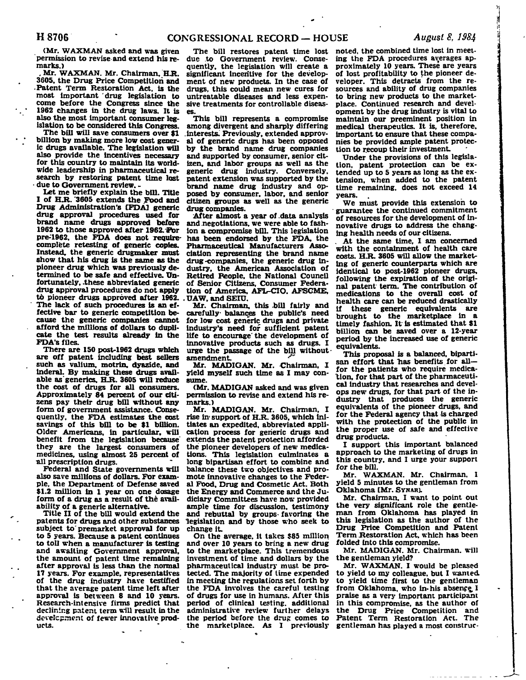**(Mr. WAXMAN asked and was given permission to revise and extend his remarks.)** 

Mr. WAXMAN. Mr. Chairman, H.R. **3605. the Drug Price Competition and • Patent Term Restoration Act, is the most important drug legislation to come before the Congress since the 1962 changes in the drug laws. It is also the most important consumer legislation to be considered this Congress.** 

**The bill will save consumers over \$1 billion by making more low cost generic drugs available. The legislation will also provide the incentives necessary for this country to maintain its worldwide leadership in pharmaceutical research by restoring patent time lost - due to Government review. -**

**Let me briefly explain the bill. Title**  I of H.R. 3605 extends the Food and **Drug Administration's [FDA] generic drug approval procedures used for brand name drugs approved before**  1962 to those approved after 1962. For **pre-1962, the FDA does not requirecomplete retesting of generic copies. Instead, the generic drugmaker must show that his drug is the same as the pioneer drug which was previously determined to be safe and effective. Unfortunately, .these abbreviated generic drug approval procedures do not apply to pioneer drugs approved after 1962. The lack of such procedures is an effective bar to generic competition because the generic companies cannot afford the millions of dollars to duplicate the test results already in the FDA's files.** 

**There are 150 post-1962 drugs which are off patent including best sellers such as Valium, motrin. dyazide. and Inderal. By making these drugs avail**able as generics, H.R. 3605 will reduce **the cost of drugs for all consumers. Approximately 84 percent of our citizens pay their drug bill without any form of government assistance. Consequently, the FDA estimates the cost savings of this bill to be \$1 billion. Older Americans, in particular, will benefit from the legislation because they are the largest consumers of medicines, using almost 25 percent of all prescription drugs.** 

**Federal and State governments will also save millions of dollars. For example, the Department of Defense saved \$1.2 million in 1 year on one dosage form of a drug as a result of the availability of a generic alternative.** 

**Title II of the bill would extend the patents for drugs and other substances subject to' premarket approval for up to 5 years. Because a patent continues to toll when a manufacturer is testing and awaiting Government approval, the amount of patent time remaining after approval is less than the normal 17 years. For example, representatives of the drug industry have testified that the average patent time left after approval is between 8 and 10 years. Research-intensive firms predict that declining patent term will result in the development of fewer innovative products.** 

**due to Government review. Consequently, the legislation will create a significant incentive for the development of new products. In the case of drugs, this could mean new cures for untreatable diseases and less expensive treatments for controllable diseases.** 

**This bill represents a compromise among divergent and sharply differing interests. Previously, extended approval of generic drugs has been opposed by the brand name drug companies and supported by consumer, senior citizen, and labor groups as well as the generic drug industry. Conversely, patent extension was supported by the brand name drug industry and opposed by consumer, labor, and senior citizen groups as well as the generic drug companies.** 

**After almost a year of .data analysis and negotiations, we were able to fashion a compromise bill. This legislation has been endorsed by the FDA. the Pharmaceutical Manufacturers Association representing the brand name drug-companies, the generic drug industry, the American Association of Retired People, the National Council of Senior Citizens, Consumer Federation of America, AFL-CIO. AFSGME, . UAW. and SEIU.** 

**Mr. Chairman, this .bill fairly and carefully- balances the public's need for low cost generic drugs and private industry's need for sufficient patent life to encourage' the development of innovative products such as drugs. I urge the passage of the bill without amendment.** *\*"* 

**Mr. MADIGAN. Mr. Chairman. I yield myself such time as I may consume.** 

**(Mr. MADIGAN asked and was given permission to revise and extend his remarks.)** 

**Mr. MADIGAN. Mr. Chairman, I**  rise in support of H.R. 3605, which ini**tiates an expedited, abbreviated application process for generic drugs and extends the patent protection afforded the pioneer developers of new medications. This legislation culminates a long bipartisan effort to combine and balance these two objectives and promote innovative changes to the Federal Food, Drug and Cosmetic Act. Both the Energy and Commerce and the Judiciary Committees have now provided ample time for discussion, testimony and rebuttal by groups- favoring the legislation and by those who seek to change it.** 

**On the average, it takes \$85 million and over 10 years to bring a new drug to the marketplace. This tremendous investment of time and dollars by the pharmaceutical industry must be protected. The majority of time expended in meeting the regulations set forth by the FDA involves the careful testing of drugs for use in humans. After this period of clinical testing, additional administrative review further delays the period before the drug comes to the marketplace. As I previously** 

**The bill restores patent time lost noted, the combined time lost in meeting the FDA procedures averages approximately 10 years. These are years of lost profitability to the pioneer developer. This detracts from the resources and ability of drug companies to bring new products to the marketplace. Continued research and development by the drug industry is vital to maintain our preeminent position in medical therapeutics. It is, therefore, important to ensure that these companies be provided ample patent protection to recoup their investment.** 

**Under the provisions of this legislation, patent protection can be extended up to 5 years as long as the extension, when added to the patent time remaining, does not exceed 14 years.** 

**We must provide this extension to guarantee the continued commitment of resources for the development of innovative drugs to address the changing health needs of our citizens.** 

**. At the same time, I am concerned with the containment of health care costs. H.R. 3605 will allow the marketing of generic counterparts which are identical to post-1962 pioneer drugs, following the expiration of the original patent term. The contribution of medications to the overall cost of health care can be reduced drastically if these generic equivalents are brought to the marketplace in a timely fashion. It is estimated that \$1 billion can be saved over a 12-year period by the increased use of generic equivalents.** 

**This proposal is a balanced, biparti**san effort that has benefits for all**tor the patients who require medication, for that part of the pharmaceutical industry that researches and develops new drugs, for that part of the industry that produces the generic equivalents of the pioneer drugs, and for the Federal agency that is charged with the protection of the public in the proper use of safe and effective drug products.** 

**I support this important balanced approach to the marketing of drugs in this country, and I urge your support for the bill.** 

**Mr. WAXMAN. Mr. Chairman, 1 yield 5 minutes to the gentleman from Oklahoma [Mr. SYNAR).** 

**Mr. Chairman. I want to point out the very significant role the gentleman from Oklahoma has played in this legislation as the author of the Drug Price Competition and Patent Term Restoration Act, which has been folded into this compromise.** 

**Mr. MADIGAN. Mr. Chairman, will the gentleman yield?** 

**Mr. WAXMAN. I would be pleased to yield to my colleague, but I wanted, to yield time first to the gentleman**  from Oklahoma, who in-his absence I **praise as a very important participant in this compromise, as the author of the Drug Price Competition and Patent Term Restoration Act. The gentleman has played a most construe-**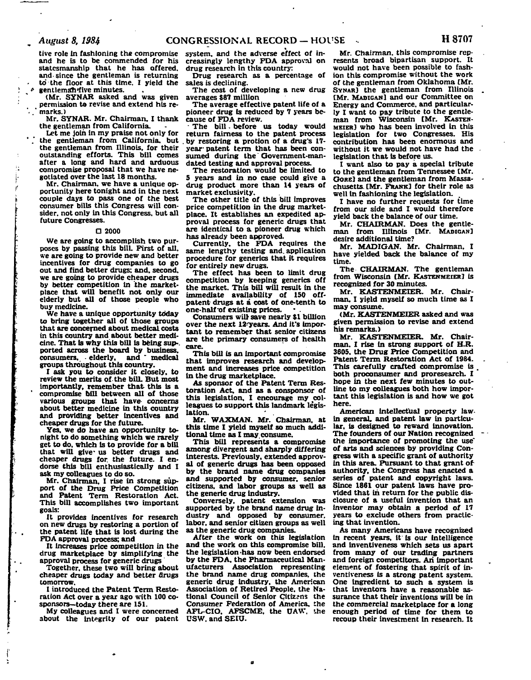tive role in fashioning the compromise and he is to be commended for his statesmanship that he has offered, and. since the gentleman is returning to' the floor at this time. I yield the  $\ell$  gentleman five minutes.

(Mr. SYNAR asked and was given permission to revise and extend his re- ' marks.)

Mr. SYNAR. Mr. Chairman. I thank the gentleman from California.

Let me join in my praise not only for the gentleman from California, but the gentleman from Illinois, for their outstanding efforts. This bill comes after a long and hard and arduous compromise proposal that we have negotiated over the last 18 months.

Mr. Chairman, we have a unique opportunity here tonight and in the next couple days to pass one of the best consumer bills this Congress will consider, not only in this Congress, but all future Congresses.

### **O 2000**

We are going to accomplish two purposes by passing this bill. First of all. we are going to provide new and better incentives for drug companies to go out and find better drugs; and, second, we are going to provide cheaper drugs by better competition in the marketplace that will benefit not only our elderly but all of those people who buy medicine.

We have a unique opportunity today to bring together all of those groups that are concerned about medical costs in this country and about better medicine. That is why this bill is being sup-, ported across the board by business, consumers. • elderly, and ' medical groups throughout this country.

I ask you to consider it closely, to review the merits of the bilL But most importantly, remember that this is a compromise bill between all of those various groups that have- concerns about better medicine in this country and providing better incentives and cheaper drugs for the future.

Yes. we do have an opportunity tonight to do something which we rarely get to do, which is to provide for a bill that will give us better drugs and cheaper drugs for. the future. I endorse this bill enthusiastically and I ask my colleagues to do so.

Mr. Chairman, I rise in strong support of the Drug Price Competition and Patent Term Restoration Act. This bill accomplishes two important goals:

It provides incentives for research on new drugs by restoring a portion of the patent life that is lost during the FDA approval process; and

It increases price competition in the drug marketplace by simplifying the approval process for generic drugs

Together, these two will bring about cheaper drugs today and better flrugs tomorrow.

I introduced the Patent Term Restoration Act over a year ago with 100 cosponsors—today there are 151.

My colleagues and I were concerned about the Integrity of our patent

system, and the adverse effect of increasingly lengthy FDA approval on drug research in this country:

Drug research as a percentage of sales is declining.

The cost of developing a new drug averages \$87 million

The average effective patent life of a pioneer drug is reduced by 7 years because of FDA review.

- The bill. before us today would return fairness to the patent process . by restoring a protion of a drug's 17 year- patent term that has been consumed during the Government-mandated testing and approval process.

The restoration would be limited to 5 years and in no case could give a drug product more than 14 years of market exclusivity.

The other title of this bill improves price competition in the drug marketplace. It establishes an expedited approval process for generic drugs that are identical to a pioneer drug which has already been approved.

Currently, the FDA requires the same lengthy testing and. application procedure for generics that it requires for entirely new drugs.

The effect has been to limit drug competition by keeping generics off the market. This bill will result in the immediate availability of 150 offpatent drugs at a cost of one-tenth to one-half-of existing prices.

Consumers will save nearly \$1 billion over the next 12<sup>-years</sup>. And it's important to remember that senior citizens are the primary consumers of health care.

This bill is an important compromise that improves research and development and increases price competition in the drug marketplace.

As sponsor of the Patent Term Restoration Act, and as a consponsor of this legislation, I encourage my colleagues to support this landmark legislation.

**Mr. WAXMAN. Mr.** Chairman, at this time I yield myself so much additional time as I may. consume.

This bill represents a compromise among divergent and sharply differing Interests. Previously, extended approval of generic drugs has been opposed by the brand name drug companies and supported by consumer, senior citizens, and labor groups as well as the generic drug industry.

Conversely, patent extension was supported by the brand name drug industry and opposed by consumer, labor, and senior citizen groups as well as the generic drug companies.

After the work on this legislation and the work on this compromise bill, the legislation -has now been endorsed by the FDA. the Pharmaceutical Manufacturers Association representing the brand name drug companies, the generic drug industry, the American Association of Retired People, the National Council of Senior Citizens the Consumer Federation of America, the AFL-CIO. AFSCME. the OAW. the USW. and SEIU.

Mr. Chairman, this compromise represents broad bipartisan support. It would not have been possible to fashion this compromise without the work of the gentleman from Oklahoma [Mr. SYNAR] the gentleman from Illinois (Mr. MADIGAN] and our Committee on Energy and Commerce, and particularly I want to pay tribute to the gentleman from Wisconsin [Mr. KASTEN-MEIER] who has been involved in this legislation for two Congresses. His contribution has been enormous and without it we would not have had the legislation that is before us.

I want also to pay a special tribute to the gentleman from Tennessee [Mr. Gorel and the gentleman from Massachusetts. [Mr. FRANK] for their role as well in fashioning the legislation.

I have no further requests for time from our side and I would therefore yield back the balance of our time.

Mr. CHAIRMAN. Does the gentleman from Illinois [Mr. MADIGAN] desire additional time?

Mr. MADIGAN. Mr. Chairman, I have yielded back the balance of my time.

The CHAIRMAN. The gentleman from Wisconsin [Mr. KASTENMEIER] is recognized for 30 minutes.

Mr. KASTENMEIER. Mr. Chairman. I yield myself so much time as I may consume.

(Mr. KASTENMEIER asked and was given permission to revise and extend his remarks.)

Mr. KASTENMEIER. Mr. Chairman. I rise in strong support of H.R. 3605. the Drug Price Competition and Patent Term Restoration Act of 1984. This carefully crafted compromise is . both proconsumer and proresearch. I hope in the next few minutes to outline to my colleagues both how important this legislation is and how we got here.

American intellectual property law in general, and patent law in particular, is designed to reward innovation. The founders of our Nation recognized the importance of promoting the use<sup>-</sup> of arts and sciences by providing Congress with a specific grant of authority in this area. Pursuant to that grant of authority, the Congress has enacted a series of patent and copyright laws. Since 1861 our patent laws have provided that in return for the public disclosure of a useful Invention that an Inventor may obtain a period of 17 years to exclude others from practicing that invention.

As many Americans have recognized in recent years, it is our intelligence and Inventiveness which sets us apart from many of our trading partners and foreign competitors. An important element of fostering that spirit of inventiveness is a strong patent system. One Ingredient to such a system is that inventors have a reasonable assurance that their inventions will be in the commercial marketplace for a long enough period of time for them to recoup their investment in research. It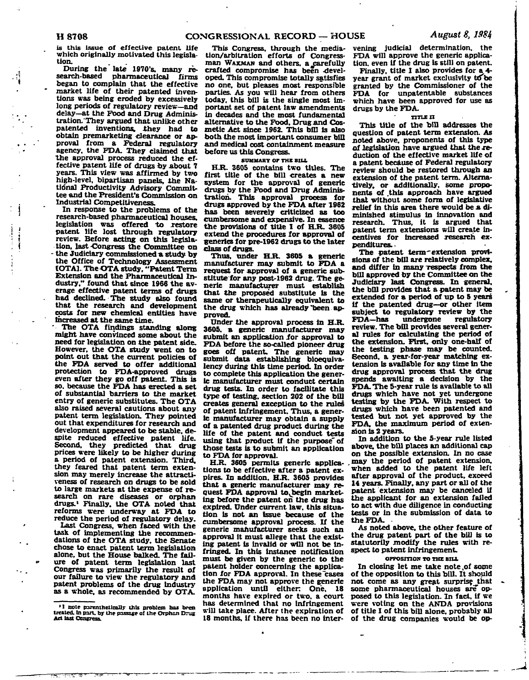**is this issue of effective patent life which originally motivated this legislation.** 

**During the late 1970's. many research-based pharmaceutical firms began to complain that the effective market life of their patented inventions was being eroded by excessively long periods of regulatory review—and delay—at the Food and Drug Administration. They argued that unlike other**  patented inventions, they had to **obtain premarketing clearance or approval from a Federal regulatory agency, the FDA. They claimed that the approval process reduced the effective patent life of drugs oy about 7 years. This view was affirmed by two high-level, bipartisan panels, the Natidnal Productivity Advisory Committee and the President's Commission on Industrial Competitiveness.** 

**In response to the problems of the research-based pharmaceutical houses,**  legislation was offered to restore **patent life lost through regulatory review. Before acting on this legislation, last -Congress the Committee on - the Judiciary commissioned a study by the Office of Technology Assessment IOTA1. The OTA study, "Patent Term Extension and the Pharmaceutical Industry." found that since 1966 the average effective patent terms of drugs had declined. The study also found that the research and development costs for new chemical entities have Increased at the same time.** 

**' The OTA findings standing along might have convinced some about the need for legislation on the patent side. However, the OTA study went on to point out that the current policies of the FDA served to offer additional protection to FDA-approved drugs even after they go off patent. This is so. because the FDA has erected a set of substantial barriers to the market entry of generic substitutes. The OTA also raised several cautions about any patent term legislation. They pointed out that expenditures for research and development appeared to be stable, despite reduced effective patent life. Second, they predicted that drug prices were likely to be higher during a period of patent extension. Third, they feared that patent term extension may merely increase the attractiveness of research on drugs to be sold to large markets at the expense of research on rare diseases or orphan drugs.<sup>1</sup> Finally, the OTA noted that reforms were underway at FDA to reduce the period of regulatory delay.** 

**Last Congress, when faced with the task of implementing the recommendations of the OTA study, the Senate chose to enact patent term legislation alone, but the House balked. The failure of patent term legislation last Congress was primarily the result of our failure to view the regulatory and patent problems of the drug Industry as a whole, as recommended by OTA.** 

**This Congress, through the mediation/arbitration efforts of Congressman WAXMAN and others, a#carefully crafted compromise has been -developed. This compromise totally satisfies no one, but pleases most responsible parties. As you will hear from others today, this bill is the single most important set of patent law amendments in decades and the most fundamental alternative to the Food. Drug and Cosmetic Act since 1962. This bill is also both the most important consumer bill and medical cost containment measure before us this Congress.** 

#### **SUMMARY Or THE BIU.**

**H.R. 3605 contains two titles. The first title of the bill creates a new system for the approval of generic drugs by the Food and Drug Administration. This approval process for drugs approved by the FDA after 1962 has been severely criticized as too cumbersome and expensive. In essence the provisions of title I of H.R. 3605 extend the procedures for approval of generics for pre-1962 drugs to the later class of drugs.** 

**Thus, under H.R. 3605 a generic manufacturer may submit to FDA a request for approval of a generic substitute for any post-1962 drug. The generic manufacturer must establish that the proposed substitute is the same or therapeutically equivalent to the drug which has already "been approved.** 

**Under the approval process in H.R. 3605. a generic manufacturer may submit an application ior approval to FDA before the so-called pioneer drug goes off patent. The generic may submit data establishing bioequivalency during this time period. In order to complete this application the generic manufacturer must conduct certain drug tests. In order to facilitate this type of testing, section 202 of the bill creates general exception to the rules of patent infringement. Thus, a generic manufacturer may obtain a supply of a patented drug product during the life of the patent and conduct tests using that product if the purpose'of those tests is to submit an application to FDA for approval.** 

**H.R. 3605 permits generic applications to be effective after a patent expires. In addition. H.R. 3605 provides that a generic manufacturer may re**quest FDA approval to begin market**ing before the patent on the drug has expired. Under current law. this situation is not an issue because of the cumbersome approval process. If the generic manufacturer seeks such an approval it must allege that the existing patent is invalid or will not be infringed. In this instance notification must be given by the generic to the patent holder concerning the application for FDA approval. In these cases the FDA may not approve the generic application until either One. 18 months hare expired or two. a court has determined that no infringement will take place. After the expiration of 18 months, if there has been no inter-** **vening judicial determination, the FDA will approve the generic application, even If the drug is still on patent.** 

**Finally, title I also provides for a 4** year grant of market exclusivity to be **granted by the Commissioner of the FDA for unpatentable substances which have been approved for use as drugs by the FDA.** 

#### **TITLE II**

**This title of the bill addresses the question of patent term extension. As noted above, proponents of this type of legislation have argued that the reduction of the effective market life of a patent because of Federal regulatory review should be restored through an extension of the patent term. Alternatively, or additionally, some proponents of .this approach have argued that without some form of legislative relief in this area there would be a diminished stimulus in innovation and research. Thus, it is argued that patent term extensions will create incentives for increased research expenditures. -**

**The patent term'extension provisions of the bill are relatively complex,**  and differ in many respects from the **bill approved by the Committee on the Judiciary last Congress. In general, the bill provides that a patent may be extended for a period of up to 5 years if the patented drug—or other item subject to regulatory review by the FDA—has undergone regulatory review. The bill provides several general rules for calculating the period of the extension. First, only one-half of the testing phase may be counted. Second, a year-for-year matching extension is available for any time in the drug approval process that the drug spends awaiting a decision by the FDA. The 5-year rule is available to all drugs which have not yet undergone testing by the FDA. With respect to drugs which have been patented and tested but not yet approved by the FDA. the maximum period of extension is 2 years.** 

**In addition to the 5-year rule listed above, the bill places an additional cap on the possible extension. In no case may the period of patent extension, 'when added to the patent life left after approval of the product, exceed 14 years. Finally, any part or all of the patent extension may be canceled if the applicant for an extension failed to act with due diligence in conducting tests or in the submission of data to the FDA. -**

**As noted above, the other feature of the drug patent part of the bill is to statutorily modify the rules with respect to patent infringement.** 

### **OPPOSITION TO THE BIU.**

**In closing let me take note .of some of the opposition to this bill. It should**  not come as any great surprise that **some pharmaceutical houses are' opposed to this legislation. In fact, if we were voting on the ANDA provisions of title I of this bill alone, probably all of the drug companies would be op-**

**<sup>&#</sup>x27;I note parenthetically this problem has bpen treated, in ran. by the passage oi the Orphan Drug Act last Congress.**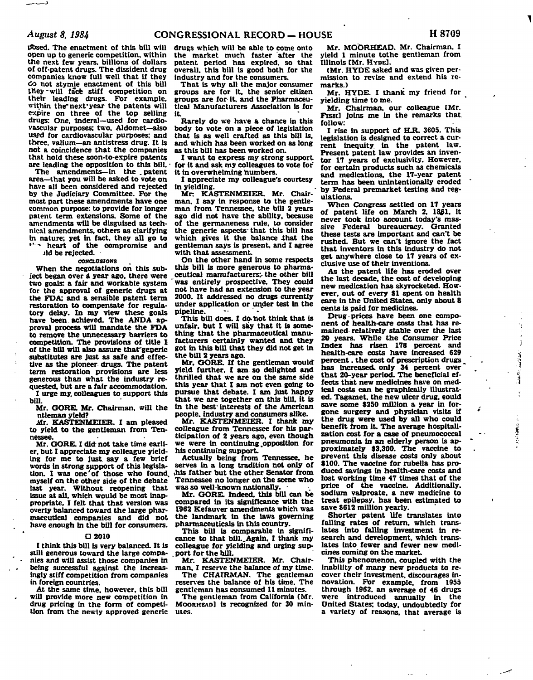**dosed. The enactment of this bill will open up to generic competition, within the next few years, billions of dollars of off-patent drugs. The dissident drug companies know full well that if they •Jo not stymie enactment of this bill they -will face stiff competition on their leading drugs. For example,**  within the next year the patents will **expire on three of the top selling drugs: One. Inderal—used for cardiovascular purposes; two. Aldomet—also used for cardiovascular purposes; and three. Valium—an antistress drug. It is not a coincidence that the companies that hold these soon-to-expire patents are leading the opposition to this bill. -**

**The amendments—in the .patent area—that you will be asked to vote on have all been considered and rejected by the Judiciary Committee. For the most part these amendments have one common purpose: to provide for longer patent term extensions. Some of the amendments will be disguised as technical amendments, others as clarifying in nature; yet In fact, they all go to \*\*--> heart of the compromise and** 

**jld be rejected.** 

#### **CONCLUSIONS**

**When the negotiations on this subject began over a year ago, there were**  two goals: a fair and workable system **for the approval of generic drugs at the FDA: and a sensible patent term restoration to compensate for regulatory delay. In my view these goals have been achieved. The ANDA approval process will mandate the FDA to remove the unnecessary barriers to competition. The provisions of title I of the bill will also assure thaf generic substitutes are just as sale and effective as the pioneer drugs. The patent term restoration provisions are less generous than what the Industry requested, but are a fair accommodation.** 

**I urge my. colleagues to support this bill.** 

**Mr. GORE. Mr. Chairman, will the ntleman yield?** 

**Air. KASTENMEIER. I am pleased to yield to the gentleman from Tennessee.** 

**Mr. CORE. I did not take time earlier, but I appreciate my colleague yielding for me to just say a few brief words In strong support of this legisla**tion. I was one of those who found, **myself on the other side of the debate last year. Without reopening that issue at all. which would be most inappropriate, I felt that that version was overly balanced toward the large pharmaceutical companies and did not have enough in the bill for consumers.** 

#### **D 2010**

**I think this bill is very balanced. It is still generous toward the large companies and will assist those companies In being successful against the Increasingly stiff competition from companies in foreign countries.** 

**At the same time, however, this bill will provide more new competition in drug pricing in the form of competition from the newly approved generic** 

**drugs which will be able to come onto the market much faster after the patent period has expired, so that overall, this bill is good both for the industry and for the consumers.** 

**That is why all the major consumer groups are for it. the senior citizen groups are for it, and the Pharmaceutical Manufacturers Association is for it.** 

**Rarely do we have a chance in this body to vote on a piece of legislation that is as well crafted as this bill Is, and which has been worked on as long as this bill has been worked on.** 

**I want to express my strong support**  for it and ask my colleagues to vote for **it in overwhelming numbers.** 

**I appreciate my colleague's courtesy in yielding.** 

Mr. KASTENMEIER. Mr. Chair**man. I say in response to the gentleman from Tennessee, the bill 2 years ago did not have the ability, because of the germaneness rule, to consider the generic aspects-that this bill has**  which gives it the balance that the **gentleman says is present, and I agree with that assessment.** 

**On the other hand in some respects this bill is more generous to pharmaceutical manufacturers;, the other bill 'was entirely prospective. They could not have had an extension to the year 2000. It addressed no drugs currently under application or under test in the pipeline. —** 

This bill does. I do not think that is **unfair, but I will say that it is something that the pharmaceutical manufacturers certainly wanted and they got in this bill that they did not get in the bill 2 years ago.** 

**Mr, GORE. If the gentleman would yield further. I am so delighted and thrilled that we are on the same side this year that I am not even going to pursue that debate. I am just happy that we are together on this bill, it is in the best' Interests of the American people, industry and consumers alike.** 

**Mr. KASTENMEIER. I thank my colleague from Tennessee for his participation of 2 years ago, even though we were in continuing .opposition for his continuing support.** 

**Actually being from Tennessee, he serves in a long tradition not only of this father but the other Senator from Tennessee no longer on the scene who was so well-known nationally.** 

**Mr. GORE. Indeed, this bill can be compared in its significance with the 1962 Kefauver amendments which was the landmark In the laws governing pharmaceuticals in this country.** 

**This bill is comparable in signifi**cance to that bill. Again, I thank my **colleague for yielding and urging sup- . port for the bill.** 

**Mr. KASTENMEIER. Mr. Chairman. I reserve the balance of my time. The CHAIRMAN. The gentleman** 

**reserves the balance of his time. The gentleman has consumed 11 minutes. The gentleman from California [Mr.** 

**MOORKEAD] is recognized for 30 minutes.** 

**Mr. MOORHEAD. Mr. Chairman. I yield 1 minute tothe gentleman from Illinois [Mr. HYDE].** 

**(Mr. HYDE asked and was given permission to revise and extend his remarks.)** 

**Mr. HYDE. I thank my friend for yielding time to me.** 

**Mr. Chairman, our colleague [Mr. FISH] joins me In the remarks that, follow:** 

**I rise in support of H.R. 3605. This legislation is designed to correct a current inequity, in the patent law. Present patent law provides an inventor 17 years of exclusivity. However, for certain products such as chemicals and medications, the 17-year patent term has been unintentionally eroded by Federal premarket testing and regulations.** 

**When Congress settled on 17 years of patent life on March 2, 1861. it never took into account today's massive Federal bureaucracy. Granted these tests are Important and can't be rushed. But we can't ignore the fact that inventors in this industry do not get anywhere close to 17 years of exclusive use of their inventions.** 

**As the patent life has eroded over the last decade, the cost of developing new medication has skyrocketed. However, out of every \$1 spent on health**  care in the United States, only about 8 **cents is paid for medicines.** 

Drug prices have been one compo**nent of health-care costs that has remained relatively stable over the last 20 years. While the Consumer Price Index has risen 178 percent and health-care costs have Increased 629 percent. the cost of prescription drugs has increased, only 34 percent over that 20-year period. The beneficial effects that new medicines have on medical costs can be graphically illustrated. Tagamet, the new ulcer drug, eould save some \$250 million a year in forgone surgery and physician visits if the drug were used by all who could benefit from it. The average hospitalization cost for a case of pneumococcal**  pneumonia in an elderly person is ap**proximately \$3,300. The vaccine to prevent this disease costs only about \$100. The vaccine for rubella has produced savings In health-care costs and lost working time 47 times that of the price of the vaccine. Additionally, sodium valproate, a new medicine to treat epilepsy, has been estimated to save \$612 million yearly.** 

in the line

بن به باسه

() 電話 アンド

z

**Shorter patent life translates into falling rates of return, which trans**lates into falling investment in re**search and development, which trans**lates into fewer and fewer new medi**cines coming on the market.** 

**This phenomenon, coupled with the inability of many new products to recover their investment, discourages innovation. For example, from 1955 through 1962. an average of 46 drugs were introduced annually in the United States; today, undoubtedly for a variety of reasons, that average is**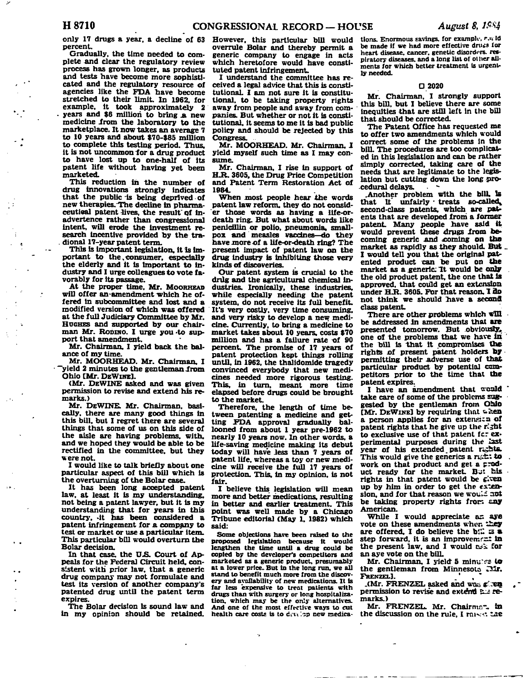**only 17 drugs a year, a decline of 63 However, this particular bill would percent.** 

**Gradually, the time needed to complete and clear the regulatory review process has grown longer, as products and tests have become more sophisticated and the regulatory resource of agencies like the FDA have become stretched to their limit. In 1962. for example, it took approximately 2 years and \$6 million to bring .a new medicine irom the laboratory to the marketplace. It now takes an average 7 to 10 years and about \$70-\$85 million to complete this testing period. Thus, it is not uncommon for a drug product to have lost up to one-half of its patent life without having yet been marketed.** 

**This reduction in the number of drug innovations strongly indicates that the public-is being deprived-of new therapies. The decline in pharma**ceutical patent lives, the result of in**advertence rather than congressional intent, will erode the investment research incentive provided by the tra- . dional 17-year patent term.** 

**This is important legislation. It Is important to the,consumer, especially the elderly and it is Important to industry and I urge colleagues to vote favorably for its passage.** 

**At the proper time, Mr. MOORHEAD will offer an-amendment which he offered in subcommittee and lost and a modified version of which was offered at the full Judiciary Committee by Mr. HUGHES and supported by our chair**man Mr. Robino. I urge you to sup**port that amendment.** 

**Mr. Chairman, I yield back the balance of my time.** 

**Mr. MOORHEAD. Mr. Chairman. I yield 2 minutes to the gentleman irom Ohio [Mr. DEWINE].** 

**(Mr. DEWINE asked and was given permission to revise and extend his remarks.)** 

**Mr. DEWINE. Mr. Chairman, basically, there are many good things in this bill, but I regret there are several things that some of us on this side of the aisle are having problems, with, and we hoped they would be able to be rectified in the committee, but they were not.** 

**I would like to talk briefly about one particular aspect of this bill which is the overturning of the Bolar case.** 

**It has been long accepted patent law. at least it is my understanding, not being a patent lawyer, but it is my understanding that for years in this country, -it has been considered a patent infringement for a company to test or market or use a particular item. This particular bill would overturn the Bolar decision.** 

**In that case, the U.S. Court of Appeals for the Federal Circuit held, consistent with prior law. that a generic drug company may not formulate and test its version of another company's patented drug until the patent term expires.** 

**The Bolar decision is sound law and in my opinion should be retained.** 

**overrule Bolar and thereby permit a generic company to engage in acts which heretofore would have constituted patent infringement.** 

**I understand the committee has received a legal advice that this is constitutional I am not sure it is constitutional, to be taking property rights away from people and away from companies. But whether or not it is constitutional, it seems to me it is bad public policy and should be rejected by this Congress.** 

**Mr. MOORHEAD. Mr. Chairman, I yield myself such time as I may consume.** 

**Mr. Chairman, I rise in support of H.R. 3605, the Drug Price Competition and Patent Term Restoration Act of 1984.** 

**When most people hear the words patent law reform, they do not consider those words as having a life-ordeatb ring. But what about words like penicillin or polio, pneumonia, smallpox and measles vaccines—do they**  have more of a life-or-death ring? The **present impact of patent law on the drug industry is inhibiting those very kinds of discoveries.** 

**Our patent system is crucial to the drug and the agricultural chemical industries. Ironically, these industries, while especially needing the patent system, do not receive its full benefit. It's very costly, very time consuming, and very risky to develop a new medicine. Currently, to bring a medicine to market takes about 10 years, costs \$70 million and has a failure rate of 90 percent. The promise of 17 years of patent protection kept things rolling until, in 1962, the thalidomide tragedy convinced everybody that new medicines needed more rigorous testing. This, in turn, meant more time elapsed before drugs could be brought to the market.** 

**Therefore, the length of time between patenting a medicine and getting FDA approval gradually ballooned from about 1 year pre-1962 to nearly 10 years now. In other words, a life-saving medicine making its debut today will have Jess than 7 years of patent life, whereas a toy or new medicine will receive the full 17 years of protection. This, in my opinion, is not fair.** 

**I believe this, legislation will mean more and better medications, resulting in better and earlier treatment. This point was well made by a Chicago Tribune editorial (May 1. 1982) which said:** 

**Some objections have been raised to the proposed legislation because it would lengthen the time until a drug could be copied by the developer's competitors and marketed as a generic product, presumably at & lower price.. But in the long run, we all stand to benefit much more from the discovery and availability of new medications. It is far less expensive to treat patients with drugs than with surgery or long hospitalization, which may be the only alternatives. And one of the most effective ways to cut**  health care costs is to develop new medica-

**tions. Enormous Eavings. for example, r.u Id**  be made if we had more effective druss for **heart disease, cancer, genetic disorders, res**piratory diseases, and a long list of other ail**ments for which better treatment is urgently needed.** 

## **D 2020**

**Mr. Chairman. I strongly support this bill, but I believe there are some inequities that are stfll left in the bill that should be corrected.** 

**The Patent Office has requested me to offer two amendments which would correct some of the problems in** *the*  **bill. The procedures are too complicated in this legislation and can be rather simply corrected, taking care of the needs that are legitimate to the legislation but cutting down the long pro**cedural delays.

**.Another problem with the bill. Is**  that it unfairly treats so-called **second-class patents, which are pair ents that are developed from a former**  patent. Many people have said it **would prevent these drugs Irom becoming generic and xoming on the market as rapidly as they should. But \_ I would tell you that the original patented product can be put on the**  market as a generic: It would be only **the old product patent, the one that Is approved, that could get an extension**  under H.R. 3605. For that reason, I do **not think we should nave a second class patent.** 

There are other problems which  $\overline{\text{full}}$ **be addressed in amendments that are presented tomorrow. But obviously,**  one of the problems that we have in **the bill is that it compromises the rights of present patent holders by permitting their adverse use of that particular product by potential competitors prior to the time that the patent expires.** 

I have an amendment that would **take care of some of the problems suggested by the gentleman from Ohio [Mr.** DEWINE] by requiring that when a person applies for an extension of **patent rights that he give up the Kjht to exclusive use of that patent fcr experimental purposes during the last**  year of his extended patent reshts. This would give the generics a r&**i: to work on that product and get a product ready for the market. Bu: his**  rights in that patent would be given **up by him in order to get the exten**sion, and for that reason we would aot **be taking property rights fron** *sag*  **American.** 

**While I would appreciate as aye vote on these amendments when i£ey**  are offered, I do believe the bill is a step forward, it is an improvement in **the present law, and I would &^k for an aye vote on the bilL** 

**Mr. Chairman. I yield 5 minules to the gentleman from Minnesota I2Ir.**  FRENZEL<sup>1</sup>.

**.(Mr. FRENZEL asked and was g; :SQ permission to revise and extend £-1 remarks.)** 

**Mr. FRENZEL. Mr. Chairmc-.. in the discussion on the rule, I rniv.\*.** *ZAS*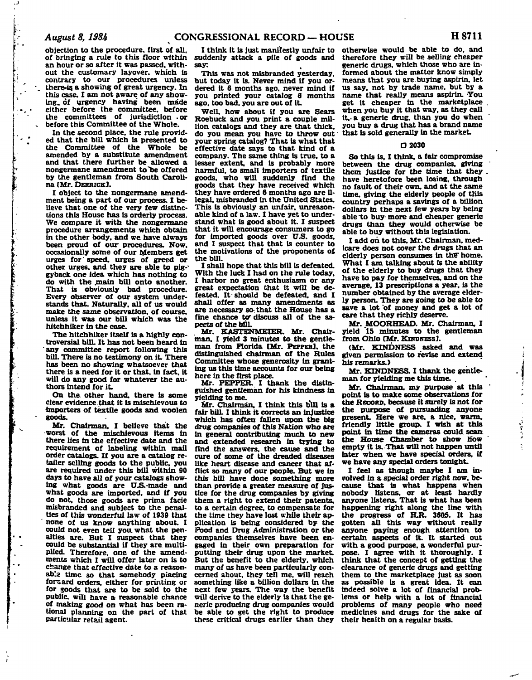**objection to the procedure, first of all, of bringing a rule to this floor within suddenly attack a pile of goods and an hour or so after it was passed, without the customary layover, which is contrary to our procedures unless**  there is a showing of great urgency. In **this case. I am not aware of any showing, of urgency having been made either before the committee, before the committees of jurisdiction .or before this Committee of the Whole.** 

**In the second place, the rule provided that the bill which is presented to the Committee of the Whole be amended by a substitute amendment and that there further be allowed a nongermane amendment to "be offered by the gentleman from South Carolina [Mr. DERRICK].** 

**I object to the nongermane amendment being a part of our process. I believe that one of the very few distinctions this House has is orderly process. We compare it with the nongermane procedure arrangements which obtain in the other body, and we. have always been proud of our procedures. Now, occasionally some of our Members get urges for' speed, urges of greed or other urges, and they are able to pig-' gyback one idea which has nothing to do with the .main bill onto another. That is obviously bad procedure. Every observer of our system understands that. Naturally, all of us would make the same observation, of course, unless it was our bill which was the hitchhiker in the case.** 

**The hitchhiker itself is a highly controversial bilL It has not been heard in any committee report following this bill. There is no testimony on it. There has been no showing whatsoever that there is a need for it or that, in fact, it will do any good for whatever the authors intend for it.** 

**On the other hand, there is some clear evidence.that it is mischievous to importers of textile goods and woolen goods.** 

**Mr. Chairman, I believe that the -worst of the mischievous items in there lies in the effective date and the requirement of labeling within mail order catalogs. If you are a catalog re**tailer selling goods to the public, you **are required under this bill within 90 days to have all of your catalogs show**ing what goods are U.S.-made and **what goods are imported, and if you do not, those goods are prima facie misbranded and subject to the penalties of this wonderful law of 1939 that none of us know anything about. I could not even tell you. what the penalties are. But I suspect that they could be substantial if they are multiplied. Therefore, one of the amendments which I will offer later on is to change that effective date to a reasonable time so that somebody placing forward orders, either for printing or for goods that are to be sold to the**  public. will have a reasonable chance **of making good on what has been rational planning on the part of that particular retail agent.** 

**I think it is just manifestly unfair to say:** 

**This was not misbranded yesterday, but today it is. Never mind if you ordered it 6 months ago. never mind if you printed your catalog 6 months ago, too bad. you are out of It.** 

**Well, how about if you are Sears Roebuck and you print a couple million catalogs and they are that thick, do you mean you have to throw out your spring catalog? That is what that effective date says to that kind of a company. The same thing is true, to a lesser extent, and is probably more harmful, to small importers of textile goods, who will suddenly find the goods that they have received which they have ordered 6 months ago are illegal, misbranded in the United States. This is obviously an unfair, unreasonable kind of a law. I have yet to understand what is good about it. I suspect that it will encourage consumers to go for imported goods over U.S. goods, and I suspect that that is counter to the motivations of the proponents of the bill.** 

**I shall hope that this bill is defeated. With the luck I had on the rule today, I harbor no great enthusiasm or any great expectation that it will be defeated. It should be defeated, and I shall offer as many amendments as are necessary so-that the House has a**  fine chance to discuss all of the as**pects of the bill.** 

**Mr. KASTENMEIER. Mr. Chairman, I yield 3 minutes to the gentleman from Florida [Mr. PEPPER], the distinguished chairman of the Rules Committee whose generosity in granting us this time accounts for our being here in the first place.** 

**Mr. PEPPER. I thank the distinguished gentleman for his kindness in yielding to me. ,** 

**Mr. Chairman. I think this bill is a fair bilL I think it corrects an injustice which has often fallen upon the big drug companies of this Nation who are in general contributing much to new and extended research in trying to find the answers, the cause and the cure of some of the dreaded diseases like heart disease and cancer that afflict so many of our people. But we in this bill have done something more than provide a greater measure of justice for the drug companies by giving them a right to extend their patents, to a certain degree, to compensate for the time they have lost while their application is being considered by the Food and Drug Administration or the companies themselves have been engaged in their own preparation for putting their drug upon the market. But the benefit to the elderly, which many of us have been particularly concerned about, they tell me. will reach something like a billion dollars in the next few years. The way the benefit will derive to the elderly is that the generic producing drug companies would be able to get the right to produce these critical drugs earlier than they** 

**otherwise would be able to do, and therefore they will be selling cheaper generic drugs, which those who are informed about the matter know simply means that you are buying aspirin, let us say. not by trade name, but by a name that really means aspirin. You**  get it cheaper in the marketplace **when you buy it that way, as they call it. a generic drug, than you do when you buy a drug that has a brand name that is sold generally in the market.** 

## **• 2030**

**So this is, I think, a fair compromise**  between the drug companies, giving **them justice for the time that they . have heretofore been losing, through no fault of their own. and at the same time, giving the elderly people of this country perhaps a savings of a billion dollars in the next few years by being able~to buy-more and cheaper generic drugs than they would otherwise be able to buy without this legislation.** 

**I add oh to this. Mr. Chairman, medicare does not cover the drugs that an**  elderly person consumes in the home. **What I am talking about is the ability of the elderly to buy drugs that they have to pay for themselves, and on the average, 13 prescriptions a year, is the number obtained by the average elderly person. They are going to be able to save a lot of money and get a lot of care that they richly deserve.** 

**Mr. MOORHEAD. Mr. Chairman. I yield '15 minutes to the gentleman from Ohio [Mr. KINDNESS].** 

**(Mr. KINDNESS asked and was given permission to revise and extend his remarks.)** 

**Mr. KINDNESS. I thank the gentleman for yielding me this time. .** 

Mr. Chairman, my purpose at this **point is to make some observations for the RECORD, because it surely is not for the purpose of pursuading anyone present. Here we are, a nice, warm, friendly little group. I wish at this point in time the cameras could scan the House Chamber to show how empty it is. That will not happen until later when we have special orders, if we have any special orders tonight.** 

Ÿ

**I feel as though maybe I am involved in a special order right now. because that is what happens when nobody listens, or at least hardly anyone listens. That is what has been happening right along the line with**  the progress of **H.R.** 3605. It has **gotten all this way without really anyone paying enough attention to certain aspects of it. It started out with a good purpose, a wonderful purpose. I agree with it thoroughly. I think that the concept of getting the clearance of generic drugs and getting them to the marketplace just as soon as possible is a great idea. It can indeed solve a lot of financial problems or help with a lot of financial problems of many people who need medicines and drugs for the sake of their health on a regular basis.**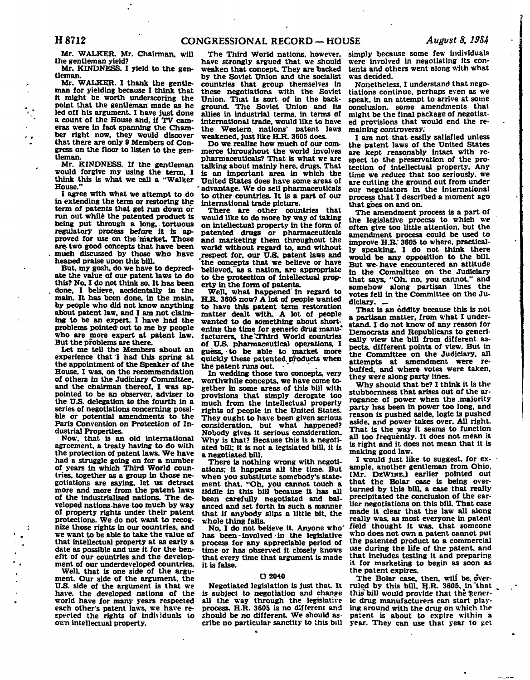**Mr. WALKER. Mr. Chairman, will the gentleman yield?** 

**Mr. KINDNESS. I yield to the gentleman.** 

**Mr. WALKER. I thank the gentleman for yielding because I think that it might be worth underscoring the point that the gentleman made as he led off his argument. I have just done a count of the House and, if TV cameras were in fact spanning the Chamber right now, they would discover that there are only 9 Members of Congress on the floor to listen to the gentleman.** 

**Mr. KINDNESS. If the gentleman would forgive my using the term, I think this is what we call a "Walker House."** 

**I agree with what we attempt to do in extending the term or restoring the term of patents that get run down or run out while the patented product is being put through a long,. tortuous regulatory process before it is approved for use on the market. Those are- two good concepts that have been much discussed by those who have heaped praise upon this bill.** 

**But, my gosh, do we have to depreciate the value of our patent laws to do this? No. I do not think so. It has been done, I believe, accidentally in the main. It has been done, in the main, by people who did not know anything about patent law, and I am not claiming to be an expert. I have had the problems pointed- out to me by people who are more expert at patent law. But the problems are there.** 

**Let me tell the Members about an experience that I had this spring at the appointment of the Speaker of the House. I was. on the recommendation of others in the Judiciary Committee, and the chairman thereof, I was appointed to be an observer, adviser to the U.S. delegation to the fourth in a series of negotiations concerning possible or potential amendments to the Paris Convention on Protection of Industrial Properties.** 

**Now. that is an old international agreement, a treaty having to do with the protection of patent laws. We have had a struggle going on for a number of years in which Third World countries, together as a group in those negotiations are saying, let us detract more and more from the patent laws of the industrialized nations. The developed nations .have too much by way of property rights under their patent protections. We do not want to recognize those rights in our countries, and we want to be able to take the value of that intellectual property at as early a date as possible and use it for the benefit of our countries and the development of our underdeveloped countries.** 

**Well, that is one side of the argument. Our side of the argument, the U.S. side of the argument is that we have, the developed nations of the world have for many years respected each other's patent laws, we have respected the rights of individuals to own intellectual property.** 

**The Third World nations, however, have strongly argued that we should weaken that concept. They are backed by the Soviet Union and the socialist countries that group themselves in these negotiations with the Soviet Union. That is sort of in the background. The Soviet Union and its allies in industrial terms, in terms of international trade, would like to have the Western, nations' patent laws weakened, just like H.R. 3605 does.** 

**Do we realize how much of our commerce throughout the world involves pharmaceuticals? That is what we are talking about mainly here, drugs. That is an important area in which the United States does have some areas of - advantage. We do sell pharmaceuticals to other countries. It is a part of our international trade picture.** 

**There are other countries that would like to do more by way of taking on intellectual property in the form of patented drugs or pharmaceuticals and marketing them throughout the world without regard to, and without respect for. our U.S. patent laws and 'the concepts that we believe or have belleved,~as a nation, are appropriate to the protection of intellectual property in the form of patents.** 

**Well, what happened' in regard to H.R. 3605 now? A lot of people wanted to have this patent term restoration matter dealt with. A lot of people wanted to do something about shortening the time for generic drug manu\* facturers, the'TThird World countries of** *VS.* **pharmaceutical operations, I guess, to be able to market more quickly these patented, products when the patent runs out.** 

**In wedding those two concepts, very worthwhile concepts, we have come together in some areas of this bill with provisions that simply derogate too much from the intellectual property rights of people in the United States. They ought to have been given serious consideration, but what happened? Nobody gives it serious consideration. Why is that? Because this is a negotiated bill; it is not a legislated bill, it is a negotiated bill.** 

**There is nothing wrong with negotiations; it happens all the time. But when you substitute somebody's statement that. "Oh. you cannot touch a tiddle in this bill because it has all been carefully negotiated and balanced and set forth in such a manner that if anybody slips a little bit, the whole thing falls.** 

**No, I do not believe it. Anyone who' has been-involved-in the legislative process for any appreciable period of time or has observed it closely knows that every time that argument is made it is false.** 

#### **. D 2040**

**Negotiated legislation is just that. It is subject to negotiation and change all the way through the legislative process. H.R. 3605 is no different and should be no different. We should ascribe no particular sanctity to this bill** 

**simply because some few individuals were involved in negotiating its contents and others went along with what was decided.** 

**Nonetheless, I understand that negotiations continue, perhaps even as we speak, in an attempt to arrive at some conclusion, some amendments that might be the final package of negotiated provisions that would end the remaining controversy.** 

**I am not that easily satisfied unless the patent laws of the United States are kept reasonably intact with respect to the preservation of the protection of intellectual property. Any time we reduce that too seriously, we are cutting the ground out from under our negotiators in the international process that I described a moment ago that goes on and on.** 

**The amendment process is a part of the legislative process to which we often give too little attention, but the amendment process could be used to improve H.R." 3605 to where, practically speaking, I do not think there would be any opposition to the bill. But we- have encountered an attitude in the Committee on the Judiciary that says, "Oh. no, you cannot." and somehow along partisan lines the votes fell in the Committee on the Judiciary. \_** 

**That is an oddity because this is not a partisan matter, from what I understand. I do not know of any reason for Democrats and Republicans to generically view the bill from different aspects, different points of view. But in the Committee on the Judiciary, all attempts at amendment were rebuffed, and where votes were taken, they were along party lines.** 

**Why should that be? I think it is the stubbornness that arises out of the arrogance of power when the .majority party has been in power too long, and reason is pushed aside, logic is pushed aside, and power takes over. All right. That is the way it seems to function all too frequently. It does not mean it is right and it does not mean that it is making good law.** 

**I would just like to suggest, for example, another gentleman from Ohio. [Mr. DEWINEJ earlier pointed out that the Bolar case is being overturned by this bill, a case that really precipitated the conclusion of the earlier negotiations on this bill. That case made it clear that the law all along really was, as most everyone in patent field thought it was. that someone who does not own a patent cannot put the patented product to a commercial use during the life of the patent, and that includes testing it and preparing it for marketing to begin as soon as the patent expires.** 

**The Bolar case, then, will be. overruled by this bill. H.R. 3605, in that this" bill would provide that the-generic drug manufacturers can start playing around with the drug on which the patent is about to expire within a year. They can use that year to get**